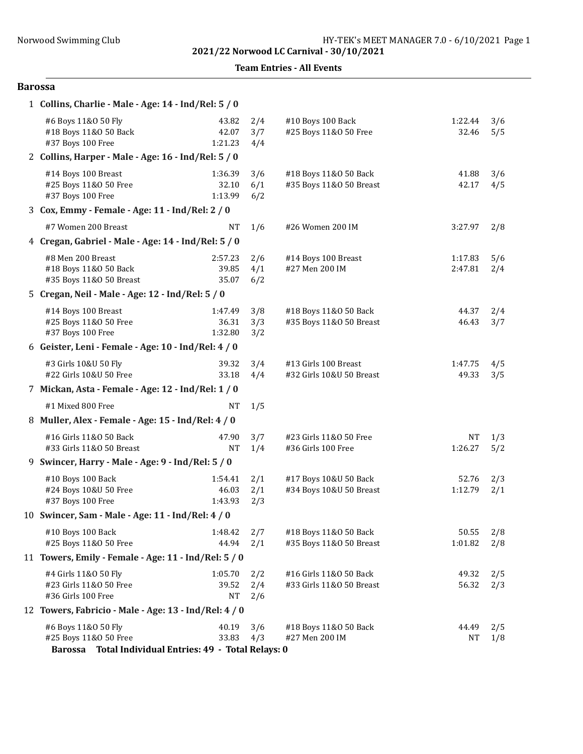Team Entries - All Events

## Barossa

| 1 Collins, Charlie - Male - Age: 14 - Ind/Rel: 5 / 0                                                   |                             |                   |                                                    |                      |            |
|--------------------------------------------------------------------------------------------------------|-----------------------------|-------------------|----------------------------------------------------|----------------------|------------|
| #6 Boys 11&0 50 Fly<br>#18 Boys 11&0 50 Back<br>#37 Boys 100 Free                                      | 43.82<br>42.07<br>1:21.23   | 2/4<br>3/7<br>4/4 | #10 Boys 100 Back<br>#25 Boys 11&0 50 Free         | 1:22.44<br>32.46     | 3/6<br>5/5 |
| 2 Collins, Harper - Male - Age: 16 - Ind/Rel: 5 / 0                                                    |                             |                   |                                                    |                      |            |
| #14 Boys 100 Breast<br>#25 Boys 11&0 50 Free<br>#37 Boys 100 Free                                      | 1:36.39<br>32.10<br>1:13.99 | 3/6<br>6/1<br>6/2 | #18 Boys 11&0 50 Back<br>#35 Boys 11&0 50 Breast   | 41.88<br>42.17       | 3/6<br>4/5 |
| 3 Cox, Emmy - Female - Age: 11 - Ind/Rel: 2 / 0                                                        |                             |                   |                                                    |                      |            |
| #7 Women 200 Breast                                                                                    | NT                          | 1/6               | #26 Women 200 IM                                   | 3:27.97              | 2/8        |
| 4 Cregan, Gabriel - Male - Age: 14 - Ind/Rel: 5 / 0                                                    |                             |                   |                                                    |                      |            |
| #8 Men 200 Breast<br>#18 Boys 11&0 50 Back<br>#35 Boys 11&0 50 Breast                                  | 2:57.23<br>39.85<br>35.07   | 2/6<br>4/1<br>6/2 | #14 Boys 100 Breast<br>#27 Men 200 IM              | 1:17.83<br>2:47.81   | 5/6<br>2/4 |
| 5 Cregan, Neil - Male - Age: 12 - Ind/Rel: 5 / 0                                                       |                             |                   |                                                    |                      |            |
| #14 Boys 100 Breast<br>#25 Boys 11&0 50 Free<br>#37 Boys 100 Free                                      | 1:47.49<br>36.31<br>1:32.80 | 3/8<br>3/3<br>3/2 | #18 Boys 11&0 50 Back<br>#35 Boys 11&0 50 Breast   | 44.37<br>46.43       | 2/4<br>3/7 |
| 6 Geister, Leni - Female - Age: 10 - Ind/Rel: 4 / 0                                                    |                             |                   |                                                    |                      |            |
| #3 Girls 10&U 50 Fly<br>#22 Girls 10&U 50 Free                                                         | 39.32<br>33.18              | 3/4<br>4/4        | #13 Girls 100 Breast<br>#32 Girls 10&U 50 Breast   | 1:47.75<br>49.33     | 4/5<br>3/5 |
| 7 Mickan, Asta - Female - Age: 12 - Ind/Rel: 1 / 0                                                     |                             |                   |                                                    |                      |            |
| #1 Mixed 800 Free                                                                                      | <b>NT</b>                   | 1/5               |                                                    |                      |            |
| 8 Muller, Alex - Female - Age: 15 - Ind/Rel: 4 / 0                                                     |                             |                   |                                                    |                      |            |
| #16 Girls 11&0 50 Back<br>#33 Girls 11&0 50 Breast                                                     | 47.90<br><b>NT</b>          | 3/7<br>1/4        | #23 Girls 11&0 50 Free<br>#36 Girls 100 Free       | <b>NT</b><br>1:26.27 | 1/3<br>5/2 |
| 9 Swincer, Harry - Male - Age: 9 - Ind/Rel: 5 / 0                                                      |                             |                   |                                                    |                      |            |
| #10 Boys 100 Back<br>#24 Boys 10&U 50 Free<br>#37 Boys 100 Free                                        | 1:54.41<br>46.03<br>1:43.93 | 2/1<br>2/1<br>2/3 | #17 Boys 10&U 50 Back<br>#34 Boys 10&U 50 Breast   | 52.76<br>1:12.79     | 2/3<br>2/1 |
| 10 Swincer, Sam - Male - Age: 11 - Ind/Rel: 4 / 0                                                      |                             |                   |                                                    |                      |            |
| #10 Boys 100 Back<br>#25 Boys 11&0 50 Free                                                             | 1:48.42<br>44.94            | 2/7<br>2/1        | #18 Boys 11&0 50 Back<br>#35 Boys 11&0 50 Breast   | 50.55<br>1:01.82     | 2/8<br>2/8 |
| 11 Towers, Emily - Female - Age: 11 - Ind/Rel: 5 / 0                                                   |                             |                   |                                                    |                      |            |
| #4 Girls 11&0 50 Fly<br>#23 Girls 11&0 50 Free<br>#36 Girls 100 Free                                   | 1:05.70<br>39.52<br>NT      | 2/2<br>2/4<br>2/6 | #16 Girls 11&0 50 Back<br>#33 Girls 11&0 50 Breast | 49.32<br>56.32       | 2/5<br>2/3 |
| 12 Towers, Fabricio - Male - Age: 13 - Ind/Rel: 4 / 0                                                  |                             |                   |                                                    |                      |            |
| #6 Boys 11&0 50 Fly<br>#25 Boys 11&0 50 Free<br>Barossa Total Individual Entries: 49 - Total Relays: 0 | 40.19<br>33.83              | 3/6<br>4/3        | #18 Boys 11&0 50 Back<br>#27 Men 200 IM            | 44.49<br>NT          | 2/5<br>1/8 |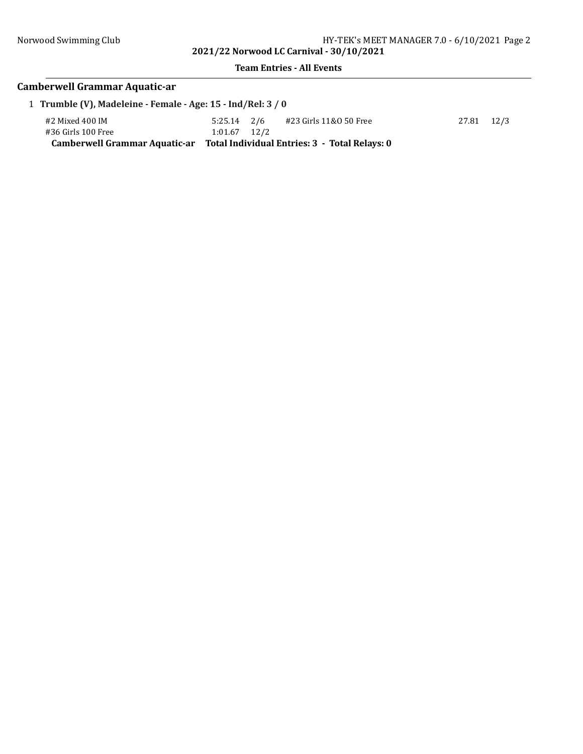## Team Entries - All Events

# Camberwell Grammar Aquatic-ar

| 1 Trumble (V), Madeleine - Female - Age: 15 - Ind/Rel: 3 / 0 |                  |                                               |            |
|--------------------------------------------------------------|------------------|-----------------------------------------------|------------|
| #2 Mixed 400 IM                                              |                  | $5:25.14$ $2/6$ $\#23$ Girls 11&0 50 Free     | 27.81 12/3 |
| #36 Girls 100 Free                                           | $1:01.67$ $12/2$ |                                               |            |
| <b>Camberwell Grammar Aquatic-ar</b>                         |                  | Total Individual Entries: 3 - Total Relays: 0 |            |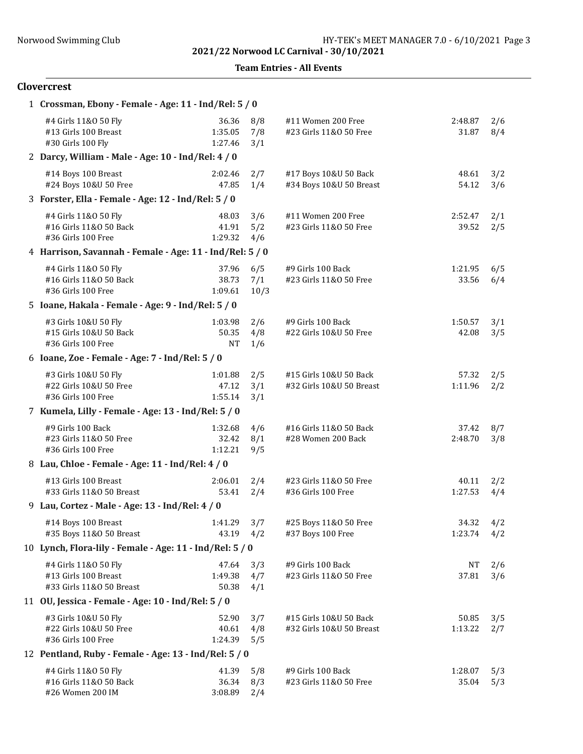Team Entries - All Events

## Clovercrest

| 1 Crossman, Ebony - Female - Age: 11 - Ind/Rel: 5 / 0                    |                               |                    |                                                    |                  |            |
|--------------------------------------------------------------------------|-------------------------------|--------------------|----------------------------------------------------|------------------|------------|
| #4 Girls 11&0 50 Fly<br>#13 Girls 100 Breast<br>#30 Girls 100 Fly        | 36.36<br>1:35.05<br>1:27.46   | 8/8<br>7/8<br>3/1  | #11 Women 200 Free<br>#23 Girls 11&0 50 Free       | 2:48.87<br>31.87 | 2/6<br>8/4 |
| 2 Darcy, William - Male - Age: 10 - Ind/Rel: 4 / 0                       |                               |                    |                                                    |                  |            |
| #14 Boys 100 Breast<br>#24 Boys 10&U 50 Free                             | 2:02.46<br>47.85              | 2/7<br>1/4         | #17 Boys 10&U 50 Back<br>#34 Boys 10&U 50 Breast   | 48.61<br>54.12   | 3/2<br>3/6 |
| 3 Forster, Ella - Female - Age: 12 - Ind/Rel: 5 / 0                      |                               |                    |                                                    |                  |            |
| #4 Girls 11&0 50 Fly<br>#16 Girls 11&0 50 Back<br>#36 Girls 100 Free     | 48.03<br>41.91<br>1:29.32     | 3/6<br>5/2<br>4/6  | #11 Women 200 Free<br>#23 Girls 11&0 50 Free       | 2:52.47<br>39.52 | 2/1<br>2/5 |
| 4 Harrison, Savannah - Female - Age: 11 - Ind/Rel: 5 / 0                 |                               |                    |                                                    |                  |            |
| #4 Girls 11&0 50 Fly<br>#16 Girls 11&0 50 Back<br>#36 Girls 100 Free     | 37.96<br>38.73<br>1:09.61     | 6/5<br>7/1<br>10/3 | #9 Girls 100 Back<br>#23 Girls 11&0 50 Free        | 1:21.95<br>33.56 | 6/5<br>6/4 |
| 5 Ioane, Hakala - Female - Age: 9 - Ind/Rel: 5 / 0                       |                               |                    |                                                    |                  |            |
| #3 Girls 10&U 50 Fly<br>#15 Girls 10&U 50 Back<br>#36 Girls 100 Free     | 1:03.98<br>50.35<br><b>NT</b> | 2/6<br>4/8<br>1/6  | #9 Girls 100 Back<br>#22 Girls 10&U 50 Free        | 1:50.57<br>42.08 | 3/1<br>3/5 |
| 6 Ioane, Zoe - Female - Age: 7 - Ind/Rel: 5 / 0                          |                               |                    |                                                    |                  |            |
| #3 Girls 10&U 50 Fly<br>#22 Girls 10&U 50 Free<br>#36 Girls 100 Free     | 1:01.88<br>47.12<br>1:55.14   | 2/5<br>3/1<br>3/1  | #15 Girls 10&U 50 Back<br>#32 Girls 10&U 50 Breast | 57.32<br>1:11.96 | 2/5<br>2/2 |
| 7 Kumela, Lilly - Female - Age: 13 - Ind/Rel: 5 / 0                      |                               |                    |                                                    |                  |            |
| #9 Girls 100 Back<br>#23 Girls 11&0 50 Free<br>#36 Girls 100 Free        | 1:32.68<br>32.42<br>1:12.21   | 4/6<br>8/1<br>9/5  | #16 Girls 11&0 50 Back<br>#28 Women 200 Back       | 37.42<br>2:48.70 | 8/7<br>3/8 |
| 8 Lau, Chloe - Female - Age: 11 - Ind/Rel: 4 / 0                         |                               |                    |                                                    |                  |            |
| #13 Girls 100 Breast<br>#33 Girls 11&0 50 Breast                         | 2:06.01<br>53.41              | 2/4<br>2/4         | #23 Girls 11&0 50 Free<br>#36 Girls 100 Free       | 40.11<br>1:27.53 | 2/2<br>4/4 |
| 9 Lau, Cortez - Male - Age: 13 - Ind/Rel: 4 / 0                          |                               |                    |                                                    |                  |            |
| #14 Boys 100 Breast<br>#35 Boys 11&0 50 Breast                           | 1:41.29<br>43.19              | 3/7<br>4/2         | #25 Boys 11&0 50 Free<br>#37 Boys 100 Free         | 34.32<br>1:23.74 | 4/2<br>4/2 |
| 10 Lynch, Flora-lily - Female - Age: 11 - Ind/Rel: 5 / 0                 |                               |                    |                                                    |                  |            |
| #4 Girls 11&0 50 Fly<br>#13 Girls 100 Breast<br>#33 Girls 11&0 50 Breast | 47.64<br>1:49.38<br>50.38     | 3/3<br>4/7<br>4/1  | #9 Girls 100 Back<br>#23 Girls 11&0 50 Free        | NT<br>37.81      | 2/6<br>3/6 |
| 11 OU, Jessica - Female - Age: 10 - Ind/Rel: 5 / 0                       |                               |                    |                                                    |                  |            |
| #3 Girls 10&U 50 Fly<br>#22 Girls 10&U 50 Free<br>#36 Girls 100 Free     | 52.90<br>40.61<br>1:24.39     | 3/7<br>4/8<br>5/5  | #15 Girls 10&U 50 Back<br>#32 Girls 10&U 50 Breast | 50.85<br>1:13.22 | 3/5<br>2/7 |
| 12 Pentland, Ruby - Female - Age: 13 - Ind/Rel: 5 / 0                    |                               |                    |                                                    |                  |            |
| #4 Girls 11&0 50 Fly<br>#16 Girls 11&0 50 Back<br>#26 Women 200 IM       | 41.39<br>36.34<br>3:08.89     | 5/8<br>8/3<br>2/4  | #9 Girls 100 Back<br>#23 Girls 11&0 50 Free        | 1:28.07<br>35.04 | 5/3<br>5/3 |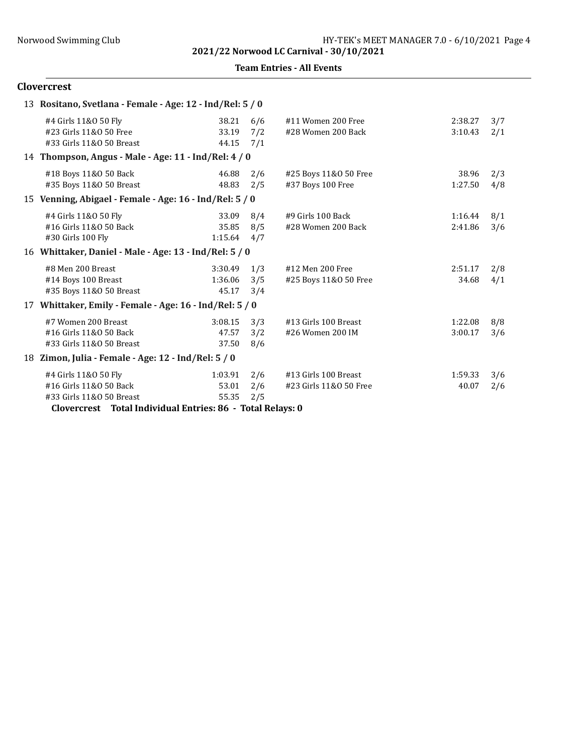Team Entries - All Events

## Clovercrest

|    | 13 Rositano, Svetlana - Female - Age: 12 - Ind/Rel: 5 / 0                  |                             |                   |                                                |                    |            |
|----|----------------------------------------------------------------------------|-----------------------------|-------------------|------------------------------------------------|--------------------|------------|
|    | #4 Girls 11&0 50 Fly<br>#23 Girls 11&0 50 Free<br>#33 Girls 11&0 50 Breast | 38.21<br>33.19<br>44.15     | 6/6<br>7/2<br>7/1 | #11 Women 200 Free<br>#28 Women 200 Back       | 2:38.27<br>3:10.43 | 3/7<br>2/1 |
|    | 14 Thompson, Angus - Male - Age: 11 - Ind/Rel: 4 / 0                       |                             |                   |                                                |                    |            |
|    | #18 Boys 11&0 50 Back<br>#35 Boys 11&0 50 Breast                           | 46.88<br>48.83              | 2/6<br>2/5        | #25 Boys 11&0 50 Free<br>#37 Boys 100 Free     | 38.96<br>1:27.50   | 2/3<br>4/8 |
|    | 15 Venning, Abigael - Female - Age: 16 - Ind/Rel: 5 / 0                    |                             |                   |                                                |                    |            |
|    | #4 Girls 11&0 50 Fly<br>#16 Girls 11&0 50 Back<br>#30 Girls 100 Fly        | 33.09<br>35.85<br>1:15.64   | 8/4<br>8/5<br>4/7 | #9 Girls 100 Back<br>#28 Women 200 Back        | 1:16.44<br>2:41.86 | 8/1<br>3/6 |
|    | 16 Whittaker, Daniel - Male - Age: 13 - Ind/Rel: 5 / 0                     |                             |                   |                                                |                    |            |
|    | #8 Men 200 Breast<br>#14 Boys 100 Breast<br>#35 Boys 11&0 50 Breast        | 3:30.49<br>1:36.06<br>45.17 | 1/3<br>3/5<br>3/4 | #12 Men 200 Free<br>#25 Boys 11&0 50 Free      | 2:51.17<br>34.68   | 2/8<br>4/1 |
| 17 | Whittaker, Emily - Female - Age: 16 - Ind/Rel: 5 / 0                       |                             |                   |                                                |                    |            |
|    | #7 Women 200 Breast<br>#16 Girls 11&0 50 Back<br>#33 Girls 11&0 50 Breast  | 3:08.15<br>47.57<br>37.50   | 3/3<br>3/2<br>8/6 | #13 Girls 100 Breast<br>#26 Women 200 IM       | 1:22.08<br>3:00.17 | 8/8<br>3/6 |
|    | 18 Zimon, Julia - Female - Age: 12 - Ind/Rel: 5 / 0                        |                             |                   |                                                |                    |            |
|    | #4 Girls 11&0 50 Fly<br>#16 Girls 11&0 50 Back<br>#33 Girls 11&0 50 Breast | 1:03.91<br>53.01<br>55.35   | 2/6<br>2/6<br>2/5 | #13 Girls 100 Breast<br>#23 Girls 11&0 50 Free | 1:59.33<br>40.07   | 3/6<br>2/6 |

Clovercrest Total Individual Entries: 86 - Total Relays: 0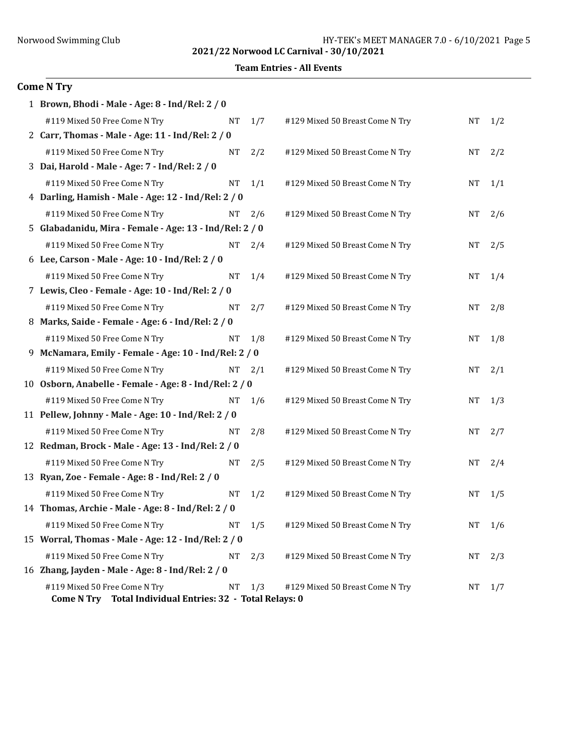Team Entries - All Events

## $Co$

| ome N Try                                               |           |            |                                 |           |     |
|---------------------------------------------------------|-----------|------------|---------------------------------|-----------|-----|
| 1 Brown, Bhodi - Male - Age: 8 - Ind/Rel: 2 / 0         |           |            |                                 |           |     |
| #119 Mixed 50 Free Come N Try                           | <b>NT</b> | 1/7        | #129 Mixed 50 Breast Come N Try | <b>NT</b> | 1/2 |
| 2 Carr, Thomas - Male - Age: 11 - Ind/Rel: 2 / 0        |           |            |                                 |           |     |
| #119 Mixed 50 Free Come N Try                           | <b>NT</b> | 2/2        | #129 Mixed 50 Breast Come N Try | <b>NT</b> | 2/2 |
| 3 Dai, Harold - Male - Age: 7 - Ind/Rel: 2 / 0          |           |            |                                 |           |     |
| #119 Mixed 50 Free Come N Try                           | <b>NT</b> | 1/1        | #129 Mixed 50 Breast Come N Try | <b>NT</b> | 1/1 |
| 4 Darling, Hamish - Male - Age: 12 - Ind/Rel: 2 / 0     |           |            |                                 |           |     |
| #119 Mixed 50 Free Come N Try                           | NT        | 2/6        | #129 Mixed 50 Breast Come N Try | <b>NT</b> | 2/6 |
| 5 Glabadanidu, Mira - Female - Age: 13 - Ind/Rel: 2 / 0 |           |            |                                 |           |     |
| #119 Mixed 50 Free Come N Try                           |           | $NT = 2/4$ | #129 Mixed 50 Breast Come N Try | <b>NT</b> | 2/5 |
| 6 Lee, Carson - Male - Age: 10 - Ind/Rel: 2 / 0         |           |            |                                 |           |     |
| #119 Mixed 50 Free Come N Try                           | NT        | 1/4        | #129 Mixed 50 Breast Come N Try | <b>NT</b> | 1/4 |
| 7 Lewis, Cleo - Female - Age: 10 - Ind/Rel: 2 / 0       |           |            |                                 |           |     |
| #119 Mixed 50 Free Come N Try                           | <b>NT</b> | 2/7        | #129 Mixed 50 Breast Come N Try | <b>NT</b> | 2/8 |
| 8 Marks, Saide - Female - Age: 6 - Ind/Rel: 2 / 0       |           |            |                                 |           |     |
| #119 Mixed 50 Free Come N Try                           | NT        | 1/8        | #129 Mixed 50 Breast Come N Try | <b>NT</b> | 1/8 |
| 9 McNamara, Emily - Female - Age: 10 - Ind/Rel: 2 / 0   |           |            |                                 |           |     |
| #119 Mixed 50 Free Come N Try                           | NT        | 2/1        | #129 Mixed 50 Breast Come N Try | <b>NT</b> | 2/1 |
| 10 Osborn, Anabelle - Female - Age: 8 - Ind/Rel: 2 / 0  |           |            |                                 |           |     |

| #119 Mixed 50 Free Come N Try                             | NT | 1/6        | #129 |
|-----------------------------------------------------------|----|------------|------|
| 11 Pellew, Johnny - Male - Age: 10 - Ind/Rel: 2 / 0       |    |            |      |
| #119 Mixed 50 Free Come N Try                             | NT | 2/8        | #129 |
| 12 Redman, Brock - Male - Age: 13 - Ind/Rel: 2 / 0        |    |            |      |
| #119 Mixed 50 Free Come N Try                             | NT | 2/5        | #129 |
| 13 Ryan, Zoe - Female - Age: 8 - Ind/Rel: 2 / 0           |    |            |      |
| #119 Mixed 50 Free Come N Try                             | NT | 1/2        | #129 |
| 14 Thomas, Archie - Male - Age: 8 - Ind/Rel: 2 / 0        |    |            |      |
| #119 Mixed 50 Free Come N Try                             | NT | 1/5        | #129 |
| 15 Worral, Thomas - Male - Age: 12 - Ind/Rel: 2 / 0       |    |            |      |
| #119 Mixed 50 Free Come N Try                             | NT | 2/3        | #129 |
| 16 Zhang, Jayden - Male - Age: 8 - Ind/Rel: 2 / 0         |    |            |      |
| #119 Mixed 50 Free Come N Try                             |    | $NT = 1/3$ | #129 |
| Come N Try Total Individual Entries: 32 - Total Relays: 0 |    |            |      |

| #119 Mixed 50 Free Come N Try                        | NT | 1/7 | #129 Mixed 50 Breast Come N Try | NT | 1/2 |
|------------------------------------------------------|----|-----|---------------------------------|----|-----|
| arr, Thomas - Male - Age: 11 - Ind/Rel: 2 / 0        |    |     |                                 |    |     |
| #119 Mixed 50 Free Come N Try                        | NT | 2/2 | #129 Mixed 50 Breast Come N Try | NT | 2/2 |
| ai, Harold - Male - Age: 7 - Ind/Rel: 2 / 0          |    |     |                                 |    |     |
| #119 Mixed 50 Free Come N Try                        | NT | 1/1 | #129 Mixed 50 Breast Come N Try | NΤ | 1/1 |
| arling, Hamish - Male - Age: 12 - Ind/Rel: 2 / 0     |    |     |                                 |    |     |
| #119 Mixed 50 Free Come N Try                        | NT | 2/6 | #129 Mixed 50 Breast Come N Try | NT | 2/6 |
| labadanidu, Mira - Female - Age: 13 - Ind/Rel: 2 / 0 |    |     |                                 |    |     |
| #119 Mixed 50 Free Come N Try                        | NT | 2/4 | #129 Mixed 50 Breast Come N Try | NT | 2/5 |
| ee, Carson - Male - Age: 10 - Ind/Rel: 2 / 0         |    |     |                                 |    |     |
| #119 Mixed 50 Free Come N Try                        | NT | 1/4 | #129 Mixed 50 Breast Come N Try | NT | 1/4 |
| ewis, Cleo - Female - Age: 10 - Ind/Rel: 2 / 0       |    |     |                                 |    |     |
| #119 Mixed 50 Free Come N Try                        | NT | 2/7 | #129 Mixed 50 Breast Come N Try | NT | 2/8 |
| larks, Saide - Female - Age: 6 - Ind/Rel: 2 / 0      |    |     |                                 |    |     |
| #119 Mixed 50 Free Come N Try                        | NT | 1/8 | #129 Mixed 50 Breast Come N Try | NT | 1/8 |
| IcNamara, Emily - Female - Age: 10 - Ind/Rel: 2 / 0  |    |     |                                 |    |     |
| #119 Mixed 50 Free Come N Try                        | NT | 2/1 | #129 Mixed 50 Breast Come N Try | NT | 2/1 |
| sborn, Anabelle - Female - Age: 8 - Ind/Rel: 2 / 0   |    |     |                                 |    |     |
| #119 Mixed 50 Free Come N Try                        | NT | 1/6 | #129 Mixed 50 Breast Come N Try | NΤ | 1/3 |
| ellew, Johnny - Male - Age: 10 - Ind/Rel: 2 / 0      |    |     |                                 |    |     |
| #119 Mixed 50 Free Come N Try                        | NT | 2/8 | #129 Mixed 50 Breast Come N Try | NT | 2/7 |
| edman, Brock - Male - Age: 13 - Ind/Rel: 2 / 0       |    |     |                                 |    |     |
| #119 Mixed 50 Free Come N Try                        | NT | 2/5 | #129 Mixed 50 Breast Come N Try | NT | 2/4 |
| yan, Zoe - Female - Age: 8 - Ind/Rel: 2 / 0          |    |     |                                 |    |     |
| #119 Mixed 50 Free Come N Try                        | NT | 1/2 | #129 Mixed 50 Breast Come N Try | NT | 1/5 |
| homas, Archie - Male - Age: 8 - Ind/Rel: 2 / 0       |    |     |                                 |    |     |
| #119 Mixed 50 Free Come N Try                        | NT | 1/5 | #129 Mixed 50 Breast Come N Try | NT | 1/6 |
| /orral, Thomas - Male - Age: 12 - Ind/Rel: 2 / 0     |    |     |                                 |    |     |
| #119 Mixed 50 Free Come N Try                        | NT | 2/3 | #129 Mixed 50 Breast Come N Try | NT | 2/3 |
| hang, Jayden - Male - Age: 8 - Ind/Rel: 2 / 0        |    |     |                                 |    |     |
| #119 Mixed 50 Free Come N Try                        | NT | 1/3 | #129 Mixed 50 Breast Come N Try | NT | 1/7 |
|                                                      |    |     |                                 |    |     |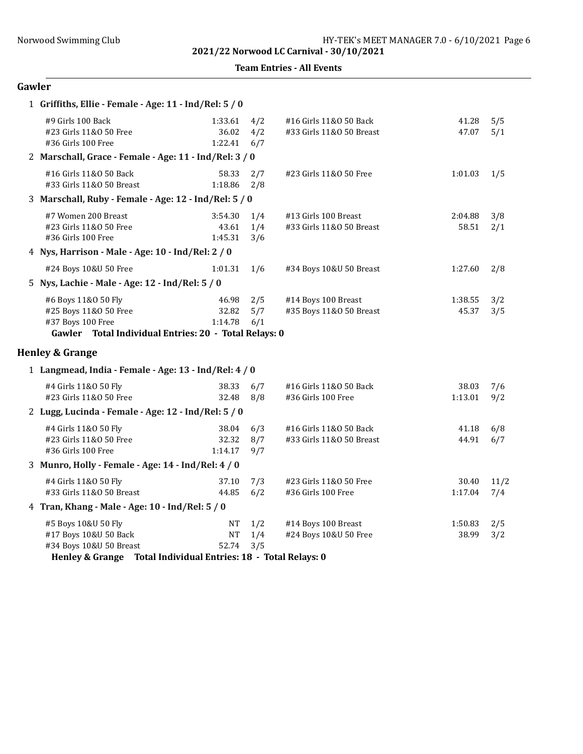Team Entries - All Events

## Gawler

| 1 Griffiths, Ellie - Female - Age: 11 - Ind/Rel: 5 / 0                                                                     |                             |                   |                                                    |                  |             |
|----------------------------------------------------------------------------------------------------------------------------|-----------------------------|-------------------|----------------------------------------------------|------------------|-------------|
| #9 Girls 100 Back<br>#23 Girls 11&0 50 Free<br>#36 Girls 100 Free                                                          | 1:33.61<br>36.02<br>1:22.41 | 4/2<br>4/2<br>6/7 | #16 Girls 11&0 50 Back<br>#33 Girls 11&0 50 Breast | 41.28<br>47.07   | 5/5<br>5/1  |
| 2 Marschall, Grace - Female - Age: 11 - Ind/Rel: 3 / 0                                                                     |                             |                   |                                                    |                  |             |
| #16 Girls 11&0 50 Back<br>#33 Girls 11&0 50 Breast                                                                         | 58.33<br>1:18.86            | 2/7<br>2/8        | #23 Girls 11&0 50 Free                             | 1:01.03          | 1/5         |
| 3 Marschall, Ruby - Female - Age: 12 - Ind/Rel: 5 / 0                                                                      |                             |                   |                                                    |                  |             |
| #7 Women 200 Breast<br>#23 Girls 11&0 50 Free<br>#36 Girls 100 Free                                                        | 3:54.30<br>43.61<br>1:45.31 | 1/4<br>1/4<br>3/6 | #13 Girls 100 Breast<br>#33 Girls 11&0 50 Breast   | 2:04.88<br>58.51 | 3/8<br>2/1  |
| 4 Nys, Harrison - Male - Age: 10 - Ind/Rel: 2 / 0                                                                          |                             |                   |                                                    |                  |             |
| #24 Boys 10&U 50 Free                                                                                                      | 1:01.31                     | 1/6               | #34 Boys 10&U 50 Breast                            | 1:27.60          | 2/8         |
| 5 Nys, Lachie - Male - Age: 12 - Ind/Rel: 5 / 0                                                                            |                             |                   |                                                    |                  |             |
| #6 Boys 11&0 50 Fly<br>#25 Boys 11&0 50 Free<br>#37 Boys 100 Free<br>Gawler Total Individual Entries: 20 - Total Relays: 0 | 46.98<br>32.82<br>1:14.78   | 2/5<br>5/7<br>6/1 | #14 Boys 100 Breast<br>#35 Boys 11&0 50 Breast     | 1:38.55<br>45.37 | 3/2<br>3/5  |
| <b>Henley &amp; Grange</b>                                                                                                 |                             |                   |                                                    |                  |             |
| 1 Langmead, India - Female - Age: 13 - Ind/Rel: 4 / 0                                                                      |                             |                   |                                                    |                  |             |
| #4 Girls 11&0 50 Fly<br>#23 Girls 11&0 50 Free                                                                             | 38.33<br>32.48              | 6/7<br>8/8        | #16 Girls 11&0 50 Back<br>#36 Girls 100 Free       | 38.03<br>1:13.01 | 7/6<br>9/2  |
| 2 Lugg, Lucinda - Female - Age: 12 - Ind/Rel: 5 / 0                                                                        |                             |                   |                                                    |                  |             |
| #4 Girls 11&0 50 Fly<br>#23 Girls 11&0 50 Free<br>#36 Girls 100 Free                                                       | 38.04<br>32.32<br>1:14.17   | 6/3<br>8/7<br>9/7 | #16 Girls 11&0 50 Back<br>#33 Girls 11&0 50 Breast | 41.18<br>44.91   | 6/8<br>6/7  |
| 3 Munro, Holly - Female - Age: 14 - Ind/Rel: 4 / 0                                                                         |                             |                   |                                                    |                  |             |
| #4 Girls 11&0 50 Fly<br>#33 Girls 11&0 50 Breast                                                                           | 37.10<br>44.85              | 7/3<br>6/2        | #23 Girls 11&0 50 Free<br>#36 Girls 100 Free       | 30.40<br>1:17.04 | 11/2<br>7/4 |
| 4 Tran, Khang - Male - Age: 10 - Ind/Rel: 5 / 0                                                                            |                             |                   |                                                    |                  |             |
| #5 Boys 10&U 50 Fly<br>#17 Boys 10&U 50 Back                                                                               | NT<br>NT                    | 1/2<br>1/4        | #14 Boys 100 Breast<br>#24 Boys 10&U 50 Free       | 1:50.83<br>38.99 | 2/5<br>3/2  |

Henley & Grange Total Individual Entries: 18 - Total Relays: 0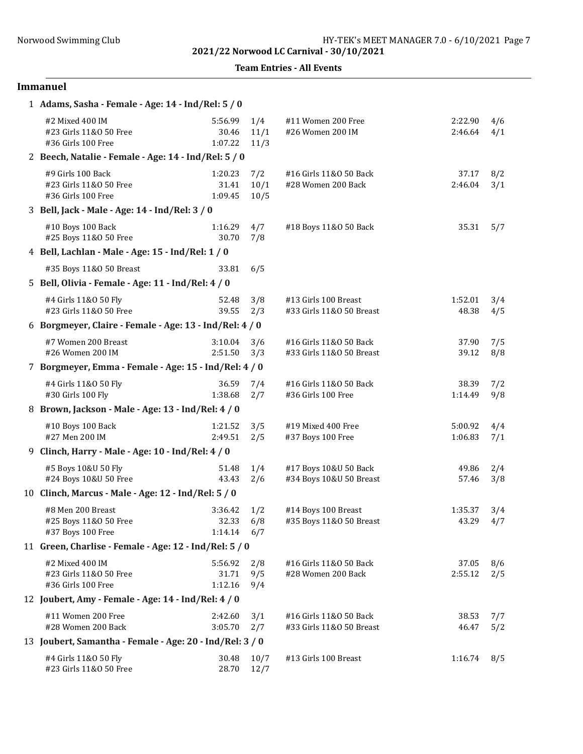Team Entries - All Events

# Immanuel

| 1 Adams, Sasha - Female - Age: 14 - Ind/Rel: 5 / 0                |                             |                     |                                                    |                    |            |
|-------------------------------------------------------------------|-----------------------------|---------------------|----------------------------------------------------|--------------------|------------|
| #2 Mixed 400 IM<br>#23 Girls 11&0 50 Free<br>#36 Girls 100 Free   | 5:56.99<br>30.46<br>1:07.22 | 1/4<br>11/1<br>11/3 | #11 Women 200 Free<br>#26 Women 200 IM             | 2:22.90<br>2:46.64 | 4/6<br>4/1 |
| 2 Beech, Natalie - Female - Age: 14 - Ind/Rel: 5 / 0              |                             |                     |                                                    |                    |            |
| #9 Girls 100 Back<br>#23 Girls 11&0 50 Free<br>#36 Girls 100 Free | 1:20.23<br>31.41<br>1:09.45 | 7/2<br>10/1<br>10/5 | #16 Girls 11&0 50 Back<br>#28 Women 200 Back       | 37.17<br>2:46.04   | 8/2<br>3/1 |
| 3 Bell, Jack - Male - Age: 14 - Ind/Rel: 3 / 0                    |                             |                     |                                                    |                    |            |
| #10 Boys 100 Back<br>#25 Boys 11&0 50 Free                        | 1:16.29<br>30.70            | 4/7<br>7/8          | #18 Boys 11&0 50 Back                              | 35.31              | 5/7        |
| 4 Bell, Lachlan - Male - Age: 15 - Ind/Rel: 1 / 0                 |                             |                     |                                                    |                    |            |
| #35 Boys 11&0 50 Breast                                           | 33.81                       | 6/5                 |                                                    |                    |            |
| 5 Bell, Olivia - Female - Age: 11 - Ind/Rel: 4 / 0                |                             |                     |                                                    |                    |            |
| #4 Girls 11&0 50 Fly<br>#23 Girls 11&0 50 Free                    | 52.48<br>39.55              | 3/8<br>2/3          | #13 Girls 100 Breast<br>#33 Girls 11&0 50 Breast   | 1:52.01<br>48.38   | 3/4<br>4/5 |
| 6 Borgmeyer, Claire - Female - Age: 13 - Ind/Rel: 4 / 0           |                             |                     |                                                    |                    |            |
| #7 Women 200 Breast<br>#26 Women 200 IM                           | 3:10.04<br>2:51.50          | 3/6<br>3/3          | #16 Girls 11&0 50 Back<br>#33 Girls 11&0 50 Breast | 37.90<br>39.12     | 7/5<br>8/8 |
| 7 Borgmeyer, Emma - Female - Age: 15 - Ind/Rel: 4 / 0             |                             |                     |                                                    |                    |            |
| #4 Girls 11&0 50 Fly<br>#30 Girls 100 Fly                         | 36.59<br>1:38.68            | 7/4<br>2/7          | #16 Girls 11&0 50 Back<br>#36 Girls 100 Free       | 38.39<br>1:14.49   | 7/2<br>9/8 |
| 8 Brown, Jackson - Male - Age: 13 - Ind/Rel: 4 / 0                |                             |                     |                                                    |                    |            |
| #10 Boys 100 Back<br>#27 Men 200 IM                               | 1:21.52<br>2:49.51          | 3/5<br>2/5          | #19 Mixed 400 Free<br>#37 Boys 100 Free            | 5:00.92<br>1:06.83 | 4/4<br>7/1 |
| 9 Clinch, Harry - Male - Age: 10 - Ind/Rel: 4 / 0                 |                             |                     |                                                    |                    |            |
| #5 Boys 10&U 50 Fly<br>#24 Boys 10&U 50 Free                      | 51.48<br>43.43              | 1/4<br>2/6          | #17 Boys 10&U 50 Back<br>#34 Boys 10&U 50 Breast   | 49.86<br>57.46     | 2/4<br>3/8 |
| 10 Clinch, Marcus - Male - Age: 12 - Ind/Rel: 5 / 0               |                             |                     |                                                    |                    |            |
| #8 Men 200 Breast<br>#25 Boys 11&0 50 Free<br>#37 Boys 100 Free   | 3:36.42<br>32.33<br>1:14.14 | 1/2<br>6/8<br>6/7   | #14 Boys 100 Breast<br>#35 Boys 11&0 50 Breast     | 1:35.37<br>43.29   | 3/4<br>4/7 |
| 11 Green, Charlise - Female - Age: 12 - Ind/Rel: 5 / 0            |                             |                     |                                                    |                    |            |
| #2 Mixed 400 IM<br>#23 Girls 11&0 50 Free<br>#36 Girls 100 Free   | 5:56.92<br>31.71<br>1:12.16 | 2/8<br>9/5<br>9/4   | #16 Girls 11&0 50 Back<br>#28 Women 200 Back       | 37.05<br>2:55.12   | 8/6<br>2/5 |
| 12 Joubert, Amy - Female - Age: 14 - Ind/Rel: 4 / 0               |                             |                     |                                                    |                    |            |
| #11 Women 200 Free<br>#28 Women 200 Back                          | 2:42.60<br>3:05.70          | 3/1<br>2/7          | #16 Girls 11&0 50 Back<br>#33 Girls 11&0 50 Breast | 38.53<br>46.47     | 7/7<br>5/2 |
| 13 Joubert, Samantha - Female - Age: 20 - Ind/Rel: 3 / 0          |                             |                     |                                                    |                    |            |
| #4 Girls 11&0 50 Fly<br>#23 Girls 11&0 50 Free                    | 30.48<br>28.70              | 10/7<br>12/7        | #13 Girls 100 Breast                               | 1:16.74            | 8/5        |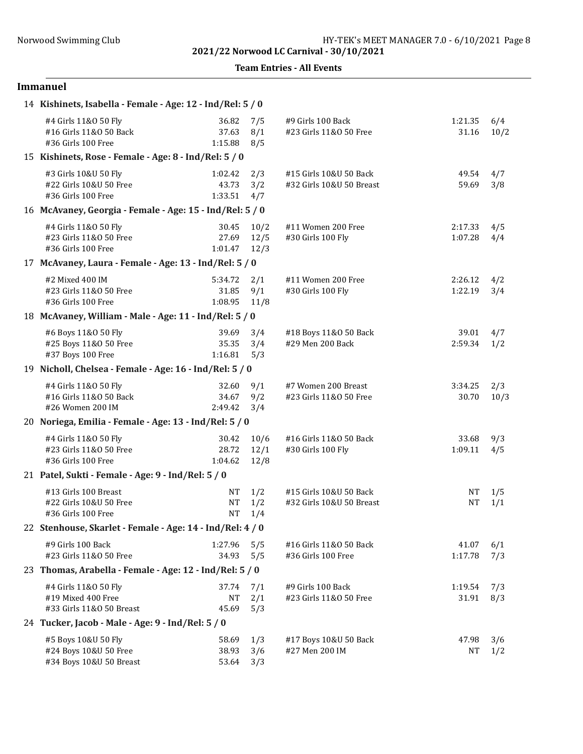Team Entries - All Events

## Immanuel

| 14 Kishinets, Isabella - Female - Age: 12 - Ind/Rel: 5 / 0              |                              |                      |                                                    |                    |             |  |
|-------------------------------------------------------------------------|------------------------------|----------------------|----------------------------------------------------|--------------------|-------------|--|
| #4 Girls 11&0 50 Fly<br>#16 Girls 11&0 50 Back<br>#36 Girls 100 Free    | 36.82<br>37.63<br>1:15.88    | 7/5<br>8/1<br>8/5    | #9 Girls 100 Back<br>#23 Girls 11&0 50 Free        | 1:21.35<br>31.16   | 6/4<br>10/2 |  |
| 15 Kishinets, Rose - Female - Age: 8 - Ind/Rel: 5 / 0                   |                              |                      |                                                    |                    |             |  |
| #3 Girls 10&U 50 Fly<br>#22 Girls 10&U 50 Free<br>#36 Girls 100 Free    | 1:02.42<br>43.73<br>1:33.51  | 2/3<br>3/2<br>4/7    | #15 Girls 10&U 50 Back<br>#32 Girls 10&U 50 Breast | 49.54<br>59.69     | 4/7<br>3/8  |  |
| 16 McAvaney, Georgia - Female - Age: 15 - Ind/Rel: 5 / 0                |                              |                      |                                                    |                    |             |  |
| #4 Girls 11&0 50 Fly<br>#23 Girls 11&0 50 Free<br>#36 Girls 100 Free    | 30.45<br>27.69<br>1:01.47    | 10/2<br>12/5<br>12/3 | #11 Women 200 Free<br>#30 Girls 100 Fly            | 2:17.33<br>1:07.28 | 4/5<br>4/4  |  |
| 17 McAvaney, Laura - Female - Age: 13 - Ind/Rel: 5 / 0                  |                              |                      |                                                    |                    |             |  |
| #2 Mixed 400 IM<br>#23 Girls 11&0 50 Free<br>#36 Girls 100 Free         | 5:34.72<br>31.85<br>1:08.95  | 2/1<br>9/1<br>11/8   | #11 Women 200 Free<br>#30 Girls 100 Fly            | 2:26.12<br>1:22.19 | 4/2<br>3/4  |  |
| 18 McAvaney, William - Male - Age: 11 - Ind/Rel: 5 / 0                  |                              |                      |                                                    |                    |             |  |
| #6 Boys 11&0 50 Fly<br>#25 Boys 11&0 50 Free<br>#37 Boys 100 Free       | 39.69<br>35.35<br>1:16.81    | 3/4<br>3/4<br>5/3    | #18 Boys 11&0 50 Back<br>#29 Men 200 Back          | 39.01<br>2:59.34   | 4/7<br>1/2  |  |
| 19 Nicholl, Chelsea - Female - Age: 16 - Ind/Rel: 5 / 0                 |                              |                      |                                                    |                    |             |  |
| #4 Girls 11&0 50 Fly<br>#16 Girls 11&0 50 Back<br>#26 Women 200 IM      | 32.60<br>34.67<br>2:49.42    | 9/1<br>9/2<br>3/4    | #7 Women 200 Breast<br>#23 Girls 11&0 50 Free      | 3:34.25<br>30.70   | 2/3<br>10/3 |  |
| 20 Noriega, Emilia - Female - Age: 13 - Ind/Rel: 5 / 0                  |                              |                      |                                                    |                    |             |  |
| #4 Girls 11&0 50 Fly<br>#23 Girls 11&0 50 Free<br>#36 Girls 100 Free    | 30.42<br>28.72<br>1:04.62    | 10/6<br>12/1<br>12/8 | #16 Girls 11&0 50 Back<br>#30 Girls 100 Fly        | 33.68<br>1:09.11   | 9/3<br>4/5  |  |
| 21 Patel, Sukti - Female - Age: 9 - Ind/Rel: 5 / 0                      |                              |                      |                                                    |                    |             |  |
| #13 Girls 100 Breast<br>#22 Girls 10&U 50 Free<br>#36 Girls 100 Free    | <b>NT</b><br>NT<br><b>NT</b> | 1/2<br>1/2<br>1/4    | #15 Girls 10&U 50 Back<br>#32 Girls 10&U 50 Breast | NΤ<br><b>NT</b>    | 1/5<br>1/1  |  |
| 22 Stenhouse, Skarlet - Female - Age: 14 - Ind/Rel: 4 / 0               |                              |                      |                                                    |                    |             |  |
| #9 Girls 100 Back<br>#23 Girls 11&0 50 Free                             | 1:27.96<br>34.93             | 5/5<br>5/5           | #16 Girls 11&0 50 Back<br>#36 Girls 100 Free       | 41.07<br>1:17.78   | 6/1<br>7/3  |  |
| 23 Thomas, Arabella - Female - Age: 12 - Ind/Rel: 5 / 0                 |                              |                      |                                                    |                    |             |  |
| #4 Girls 11&0 50 Fly<br>#19 Mixed 400 Free<br>#33 Girls 11&0 50 Breast  | 37.74<br>NT<br>45.69         | 7/1<br>2/1<br>5/3    | #9 Girls 100 Back<br>#23 Girls 11&0 50 Free        | 1:19.54<br>31.91   | 7/3<br>8/3  |  |
| 24 Tucker, Jacob - Male - Age: 9 - Ind/Rel: 5 / 0                       |                              |                      |                                                    |                    |             |  |
| #5 Boys 10&U 50 Fly<br>#24 Boys 10&U 50 Free<br>#34 Boys 10&U 50 Breast | 58.69<br>38.93<br>53.64      | 1/3<br>3/6<br>3/3    | #17 Boys 10&U 50 Back<br>#27 Men 200 IM            | 47.98<br>NΤ        | 3/6<br>1/2  |  |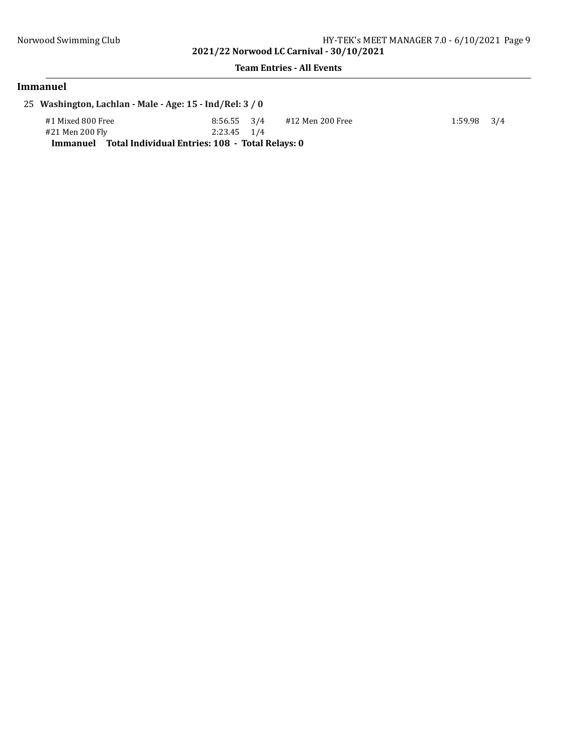#### Team Entries - All Events

## Immanuel

25 Washington, Lachlan - Male - Age: 15 - Ind/Rel: 3 / 0

#1 Mixed 800 Free 8:56.55 3/4 #12 Men 200 Free 1:59.98 3/4<br>
#21 Men 200 Fly 2:23.45 1/4 #21 Men 200 Fly Immanuel Total Individual Entries: 108 - Total Relays: 0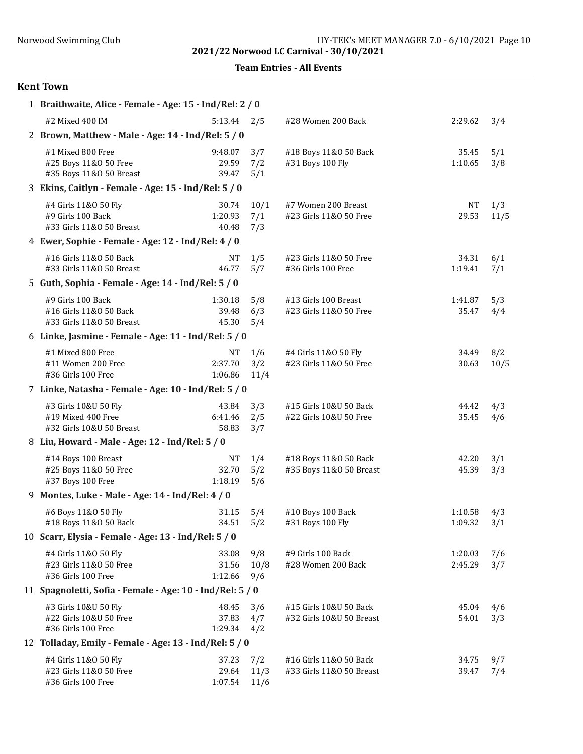Team Entries - All Events

## Kent Town

| 1 Braithwaite, Alice - Female - Age: 15 - Ind/Rel: 2 / 0                |                                 |                     |                                                    |                    |             |
|-------------------------------------------------------------------------|---------------------------------|---------------------|----------------------------------------------------|--------------------|-------------|
| #2 Mixed 400 IM                                                         | $5:13.44$ $2/5$                 |                     | #28 Women 200 Back                                 | 2:29.62            | 3/4         |
| 2 Brown, Matthew - Male - Age: 14 - Ind/Rel: 5 / 0                      |                                 |                     |                                                    |                    |             |
| #1 Mixed 800 Free<br>#25 Boys 11&0 50 Free<br>#35 Boys 11&0 50 Breast   | 9:48.07<br>29.59<br>39.47       | 3/7<br>7/2<br>5/1   | #18 Boys 11&0 50 Back<br>#31 Boys 100 Fly          | 35.45<br>1:10.65   | 5/1<br>3/8  |
| 3 Ekins, Caitlyn - Female - Age: 15 - Ind/Rel: 5 / 0                    |                                 |                     |                                                    |                    |             |
| #4 Girls 11&0 50 Fly<br>#9 Girls 100 Back<br>#33 Girls 11&0 50 Breast   | 30.74<br>1:20.93<br>40.48       | 10/1<br>7/1<br>7/3  | #7 Women 200 Breast<br>#23 Girls 11&0 50 Free      | <b>NT</b><br>29.53 | 1/3<br>11/5 |
| 4 Ewer, Sophie - Female - Age: 12 - Ind/Rel: 4 / 0                      |                                 |                     |                                                    |                    |             |
| #16 Girls 11&0 50 Back<br>#33 Girls 11&0 50 Breast                      | NΤ<br>46.77                     | 1/5<br>5/7          | #23 Girls 11&0 50 Free<br>#36 Girls 100 Free       | 34.31<br>1:19.41   | 6/1<br>7/1  |
| 5 Guth, Sophia - Female - Age: 14 - Ind/Rel: 5 / 0                      |                                 |                     |                                                    |                    |             |
| #9 Girls 100 Back<br>#16 Girls 11&0 50 Back<br>#33 Girls 11&0 50 Breast | 1:30.18<br>39.48<br>45.30       | 5/8<br>6/3<br>5/4   | #13 Girls 100 Breast<br>#23 Girls 11&0 50 Free     | 1:41.87<br>35.47   | 5/3<br>4/4  |
| 6 Linke, Jasmine - Female - Age: 11 - Ind/Rel: 5 / 0                    |                                 |                     |                                                    |                    |             |
| #1 Mixed 800 Free<br>#11 Women 200 Free<br>#36 Girls 100 Free           | <b>NT</b><br>2:37.70<br>1:06.86 | 1/6<br>3/2<br>11/4  | #4 Girls 11&0 50 Fly<br>#23 Girls 11&0 50 Free     | 34.49<br>30.63     | 8/2<br>10/5 |
| 7 Linke, Natasha - Female - Age: 10 - Ind/Rel: 5 / 0                    |                                 |                     |                                                    |                    |             |
| #3 Girls 10&U 50 Fly<br>#19 Mixed 400 Free<br>#32 Girls 10&U 50 Breast  | 43.84<br>6:41.46<br>58.83       | 3/3<br>2/5<br>3/7   | #15 Girls 10&U 50 Back<br>#22 Girls 10&U 50 Free   | 44.42<br>35.45     | 4/3<br>4/6  |
| 8 Liu, Howard - Male - Age: 12 - Ind/Rel: 5 / 0                         |                                 |                     |                                                    |                    |             |
| #14 Boys 100 Breast<br>#25 Boys 11&0 50 Free<br>#37 Boys 100 Free       | NT<br>32.70<br>1:18.19          | 1/4<br>5/2<br>5/6   | #18 Boys 11&0 50 Back<br>#35 Boys 11&0 50 Breast   | 42.20<br>45.39     | 3/1<br>3/3  |
| 9 Montes, Luke - Male - Age: 14 - Ind/Rel: 4 / 0                        |                                 |                     |                                                    |                    |             |
| #6 Boys 11&0 50 Fly<br>#18 Boys 11&0 50 Back                            | 31.15<br>34.51                  | 5/4<br>5/2          | #10 Boys 100 Back<br>#31 Boys 100 Fly              | 1:10.58<br>1:09.32 | 4/3<br>3/1  |
| 10 Scarr, Elysia - Female - Age: 13 - Ind/Rel: 5 / 0                    |                                 |                     |                                                    |                    |             |
| #4 Girls 11&0 50 Fly<br>#23 Girls 11&0 50 Free<br>#36 Girls 100 Free    | 33.08<br>31.56<br>1:12.66       | 9/8<br>10/8<br>9/6  | #9 Girls 100 Back<br>#28 Women 200 Back            | 1:20.03<br>2:45.29 | 7/6<br>3/7  |
| 11 Spagnoletti, Sofia - Female - Age: 10 - Ind/Rel: 5 / 0               |                                 |                     |                                                    |                    |             |
| #3 Girls 10&U 50 Fly<br>#22 Girls 10&U 50 Free<br>#36 Girls 100 Free    | 48.45<br>37.83<br>1:29.34       | 3/6<br>4/7<br>4/2   | #15 Girls 10&U 50 Back<br>#32 Girls 10&U 50 Breast | 45.04<br>54.01     | 4/6<br>3/3  |
| 12 Tolladay, Emily - Female - Age: 13 - Ind/Rel: 5 / 0                  |                                 |                     |                                                    |                    |             |
| #4 Girls 11&0 50 Fly<br>#23 Girls 11&0 50 Free<br>#36 Girls 100 Free    | 37.23<br>29.64<br>1:07.54       | 7/2<br>11/3<br>11/6 | #16 Girls 11&0 50 Back<br>#33 Girls 11&0 50 Breast | 34.75<br>39.47     | 9/7<br>7/4  |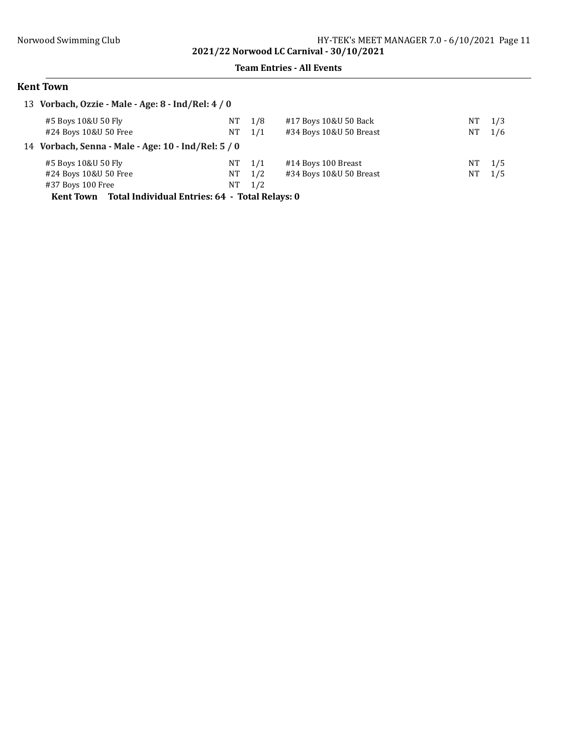#### Team Entries - All Events

## Kent Town

| 13 Vorbach, Ozzie - Male - Age: 8 - Ind/Rel: 4 / 0     |      |     |                         |     |     |
|--------------------------------------------------------|------|-----|-------------------------|-----|-----|
| #5 Boys 10&U 50 Fly                                    | NT   | 1/8 | #17 Boys 10&U 50 Back   | NT. | 1/3 |
| #24 Boys 10&U 50 Free                                  | NT   | 1/1 | #34 Boys 10&U 50 Breast | NT  | 1/6 |
| 14 Vorbach, Senna - Male - Age: 10 - Ind/Rel: 5 / 0    |      |     |                         |     |     |
| #5 Boys 10&U 50 Fly                                    | NT - | 1/1 | #14 Boys 100 Breast     | NT. | 1/5 |
| #24 Boys 10&U 50 Free                                  | NT   | 1/2 | #34 Boys 10&U 50 Breast | NT  | 1/5 |
| #37 Boys 100 Free                                      | NT   | 1/2 |                         |     |     |
| Kont Town Total Individual Entrice: 64 Total Dolove: 0 |      |     |                         |     |     |

Kent Town Total Individual Entries: 64 - Total Relays: 0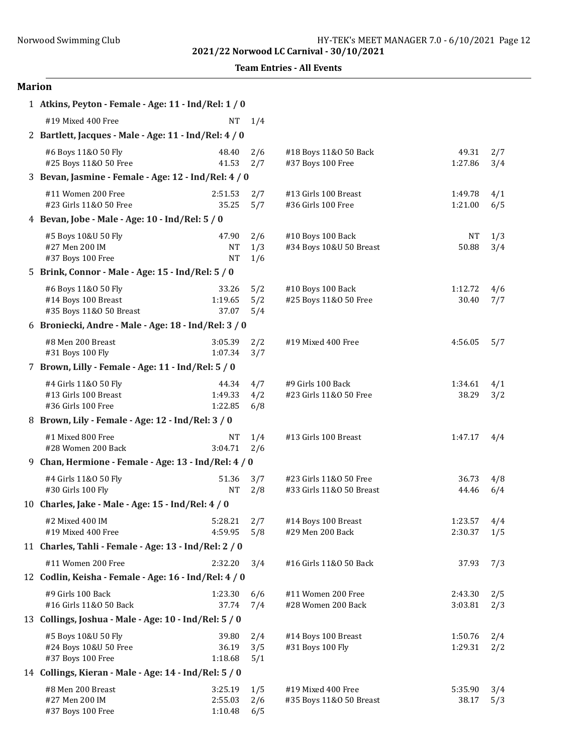|  | <b>Team Entries - All Events</b> |  |  |
|--|----------------------------------|--|--|
|--|----------------------------------|--|--|

| 1 Atkins, Peyton - Female - Age: 11 - Ind/Rel: 1 / 0                  |                                 |                   |                                                    |                    |            |
|-----------------------------------------------------------------------|---------------------------------|-------------------|----------------------------------------------------|--------------------|------------|
| #19 Mixed 400 Free                                                    | NT                              | 1/4               |                                                    |                    |            |
| 2 Bartlett, Jacques - Male - Age: 11 - Ind/Rel: 4 / 0                 |                                 |                   |                                                    |                    |            |
| #6 Boys 11&0 50 Fly<br>#25 Boys 11&0 50 Free                          | 48.40<br>41.53                  | 2/6<br>2/7        | #18 Boys 11&0 50 Back<br>#37 Boys 100 Free         | 49.31<br>1:27.86   | 2/7<br>3/4 |
| 3 Bevan, Jasmine - Female - Age: 12 - Ind/Rel: 4 / 0                  |                                 |                   |                                                    |                    |            |
| #11 Women 200 Free<br>#23 Girls 11&0 50 Free                          | 2:51.53<br>35.25                | 2/7<br>5/7        | #13 Girls 100 Breast<br>#36 Girls 100 Free         | 1:49.78<br>1:21.00 | 4/1<br>6/5 |
| 4 Bevan, Jobe - Male - Age: 10 - Ind/Rel: 5 / 0                       |                                 |                   |                                                    |                    |            |
| #5 Boys 10&U 50 Fly<br>#27 Men 200 IM<br>#37 Boys 100 Free            | 47.90<br><b>NT</b><br><b>NT</b> | 2/6<br>1/3<br>1/6 | #10 Boys 100 Back<br>#34 Boys 10&U 50 Breast       | <b>NT</b><br>50.88 | 1/3<br>3/4 |
| 5 Brink, Connor - Male - Age: 15 - Ind/Rel: 5 / 0                     |                                 |                   |                                                    |                    |            |
| #6 Boys 11&0 50 Fly<br>#14 Boys 100 Breast<br>#35 Boys 11&0 50 Breast | 33.26<br>1:19.65<br>37.07       | 5/2<br>5/2<br>5/4 | #10 Boys 100 Back<br>#25 Boys 11&0 50 Free         | 1:12.72<br>30.40   | 4/6<br>7/7 |
| 6 Broniecki, Andre - Male - Age: 18 - Ind/Rel: 3 / 0                  |                                 |                   |                                                    |                    |            |
| #8 Men 200 Breast<br>#31 Boys 100 Fly                                 | 3:05.39<br>1:07.34              | 2/2<br>3/7        | #19 Mixed 400 Free                                 | 4:56.05            | 5/7        |
| 7 Brown, Lilly - Female - Age: 11 - Ind/Rel: 5 / 0                    |                                 |                   |                                                    |                    |            |
| #4 Girls 11&0 50 Fly<br>#13 Girls 100 Breast<br>#36 Girls 100 Free    | 44.34<br>1:49.33<br>1:22.85     | 4/7<br>4/2<br>6/8 | #9 Girls 100 Back<br>#23 Girls 11&0 50 Free        | 1:34.61<br>38.29   | 4/1<br>3/2 |
| 8 Brown, Lily - Female - Age: 12 - Ind/Rel: 3 / 0                     |                                 |                   |                                                    |                    |            |
| #1 Mixed 800 Free<br>#28 Women 200 Back                               | NT<br>3:04.71                   | 1/4<br>2/6        | #13 Girls 100 Breast                               | 1:47.17            | 4/4        |
| 9 Chan, Hermione - Female - Age: 13 - Ind/Rel: 4 / 0                  |                                 |                   |                                                    |                    |            |
| #4 Girls 11&0 50 Fly<br>#30 Girls 100 Fly                             | 51.36<br><b>NT</b>              | 3/7<br>2/8        | #23 Girls 11&0 50 Free<br>#33 Girls 11&0 50 Breast | 36.73<br>44.46     | 4/8<br>6/4 |
| 10 Charles, Jake - Male - Age: 15 - Ind/Rel: 4 / 0                    |                                 |                   |                                                    |                    |            |
| #2 Mixed 400 IM<br>#19 Mixed 400 Free                                 | 5:28.21<br>4:59.95              | 2/7<br>5/8        | #14 Boys 100 Breast<br>#29 Men 200 Back            | 1:23.57<br>2:30.37 | 4/4<br>1/5 |
| 11 Charles, Tahli - Female - Age: 13 - Ind/Rel: 2 / 0                 |                                 |                   |                                                    |                    |            |
| #11 Women 200 Free                                                    | 2:32.20                         | 3/4               | #16 Girls 11&0 50 Back                             | 37.93              | 7/3        |
| 12 Codlin, Keisha - Female - Age: 16 - Ind/Rel: 4 / 0                 |                                 |                   |                                                    |                    |            |
| #9 Girls 100 Back<br>#16 Girls 11&0 50 Back                           | 1:23.30<br>37.74                | 6/6<br>7/4        | #11 Women 200 Free<br>#28 Women 200 Back           | 2:43.30<br>3:03.81 | 2/5<br>2/3 |
| 13 Collings, Joshua - Male - Age: 10 - Ind/Rel: 5 / 0                 |                                 |                   |                                                    |                    |            |
| #5 Boys 10&U 50 Fly<br>#24 Boys 10&U 50 Free<br>#37 Boys 100 Free     | 39.80<br>36.19<br>1:18.68       | 2/4<br>3/5<br>5/1 | #14 Boys 100 Breast<br>#31 Boys 100 Fly            | 1:50.76<br>1:29.31 | 2/4<br>2/2 |
| 14 Collings, Kieran - Male - Age: 14 - Ind/Rel: 5 / 0                 |                                 |                   |                                                    |                    |            |
| #8 Men 200 Breast<br>#27 Men 200 IM<br>#37 Boys 100 Free              | 3:25.19<br>2:55.03<br>1:10.48   | 1/5<br>2/6<br>6/5 | #19 Mixed 400 Free<br>#35 Boys 11&0 50 Breast      | 5:35.90<br>38.17   | 3/4<br>5/3 |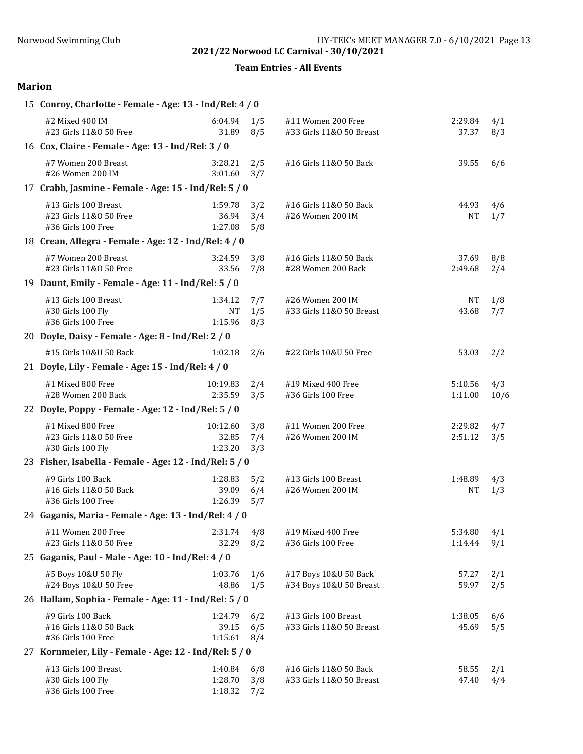Team Entries - All Events

| 15 Conroy, Charlotte - Female - Age: 13 - Ind/Rel: 4 / 0             |                                 |                   |                                                    |                    |             |
|----------------------------------------------------------------------|---------------------------------|-------------------|----------------------------------------------------|--------------------|-------------|
| #2 Mixed 400 IM<br>#23 Girls 11&0 50 Free                            | 6:04.94<br>31.89                | 1/5<br>8/5        | #11 Women 200 Free<br>#33 Girls 11&0 50 Breast     | 2:29.84<br>37.37   | 4/1<br>8/3  |
| 16 Cox, Claire - Female - Age: 13 - Ind/Rel: 3 / 0                   |                                 |                   |                                                    |                    |             |
| #7 Women 200 Breast<br>#26 Women 200 IM                              | 3:28.21<br>3:01.60              | 2/5<br>3/7        | #16 Girls 11&0 50 Back                             | 39.55              | 6/6         |
| 17 Crabb, Jasmine - Female - Age: 15 - Ind/Rel: 5 / 0                |                                 |                   |                                                    |                    |             |
| #13 Girls 100 Breast<br>#23 Girls 11&0 50 Free<br>#36 Girls 100 Free | 1:59.78<br>36.94<br>1:27.08     | 3/2<br>3/4<br>5/8 | #16 Girls 11&0 50 Back<br>#26 Women 200 IM         | 44.93<br>NΤ        | 4/6<br>1/7  |
| 18 Crean, Allegra - Female - Age: 12 - Ind/Rel: 4 / 0                |                                 |                   |                                                    |                    |             |
| #7 Women 200 Breast<br>#23 Girls 11&0 50 Free                        | 3:24.59<br>33.56                | 3/8<br>7/8        | #16 Girls 11&0 50 Back<br>#28 Women 200 Back       | 37.69<br>2:49.68   | 8/8<br>2/4  |
| 19 Daunt, Emily - Female - Age: 11 - Ind/Rel: 5 / 0                  |                                 |                   |                                                    |                    |             |
| #13 Girls 100 Breast<br>#30 Girls 100 Fly<br>#36 Girls 100 Free      | 1:34.12<br><b>NT</b><br>1:15.96 | 7/7<br>1/5<br>8/3 | #26 Women 200 IM<br>#33 Girls 11&0 50 Breast       | NT<br>43.68        | 1/8<br>7/7  |
| 20 Doyle, Daisy - Female - Age: 8 - Ind/Rel: 2 / 0                   |                                 |                   |                                                    |                    |             |
| #15 Girls 10&U 50 Back                                               | 1:02.18                         | 2/6               | #22 Girls 10&U 50 Free                             | 53.03              | 2/2         |
| 21 Doyle, Lily - Female - Age: 15 - Ind/Rel: 4 / 0                   |                                 |                   |                                                    |                    |             |
| #1 Mixed 800 Free<br>#28 Women 200 Back                              | 10:19.83<br>2:35.59             | 2/4<br>3/5        | #19 Mixed 400 Free<br>#36 Girls 100 Free           | 5:10.56<br>1:11.00 | 4/3<br>10/6 |
| 22 Doyle, Poppy - Female - Age: 12 - Ind/Rel: 5 / 0                  |                                 |                   |                                                    |                    |             |
| #1 Mixed 800 Free<br>#23 Girls 11&0 50 Free<br>#30 Girls 100 Fly     | 10:12.60<br>32.85<br>1:23.20    | 3/8<br>7/4<br>3/3 | #11 Women 200 Free<br>#26 Women 200 IM             | 2:29.82<br>2:51.12 | 4/7<br>3/5  |
| 23 Fisher, Isabella - Female - Age: 12 - Ind/Rel: 5 / 0              |                                 |                   |                                                    |                    |             |
| #9 Girls 100 Back<br>#16 Girls 11&0 50 Back<br>#36 Girls 100 Free    | 1:28.83<br>39.09<br>1:26.39     | 5/2<br>6/4<br>5/7 | #13 Girls 100 Breast<br>#26 Women 200 IM           | 1:48.89<br>NΤ      | 4/3<br>1/3  |
| 24 Gaganis, Maria - Female - Age: 13 - Ind/Rel: 4 / 0                |                                 |                   |                                                    |                    |             |
| #11 Women 200 Free<br>#23 Girls 11&0 50 Free                         | 2:31.74<br>32.29                | 4/8<br>8/2        | #19 Mixed 400 Free<br>#36 Girls 100 Free           | 5:34.80<br>1:14.44 | 4/1<br>9/1  |
| 25 Gaganis, Paul - Male - Age: 10 - Ind/Rel: 4 / 0                   |                                 |                   |                                                    |                    |             |
| #5 Boys 10&U 50 Fly<br>#24 Boys 10&U 50 Free                         | 1:03.76<br>48.86                | 1/6<br>1/5        | #17 Boys 10&U 50 Back<br>#34 Boys 10&U 50 Breast   | 57.27<br>59.97     | 2/1<br>2/5  |
| 26 Hallam, Sophia - Female - Age: 11 - Ind/Rel: 5 / 0                |                                 |                   |                                                    |                    |             |
| #9 Girls 100 Back<br>#16 Girls 11&0 50 Back<br>#36 Girls 100 Free    | 1:24.79<br>39.15<br>1:15.61     | 6/2<br>6/5<br>8/4 | #13 Girls 100 Breast<br>#33 Girls 11&0 50 Breast   | 1:38.05<br>45.69   | 6/6<br>5/5  |
| 27 Kornmeier, Lily - Female - Age: 12 - Ind/Rel: 5 / 0               |                                 |                   |                                                    |                    |             |
| #13 Girls 100 Breast<br>#30 Girls 100 Fly<br>#36 Girls 100 Free      | 1:40.84<br>1:28.70<br>1:18.32   | 6/8<br>3/8<br>7/2 | #16 Girls 11&0 50 Back<br>#33 Girls 11&0 50 Breast | 58.55<br>47.40     | 2/1<br>4/4  |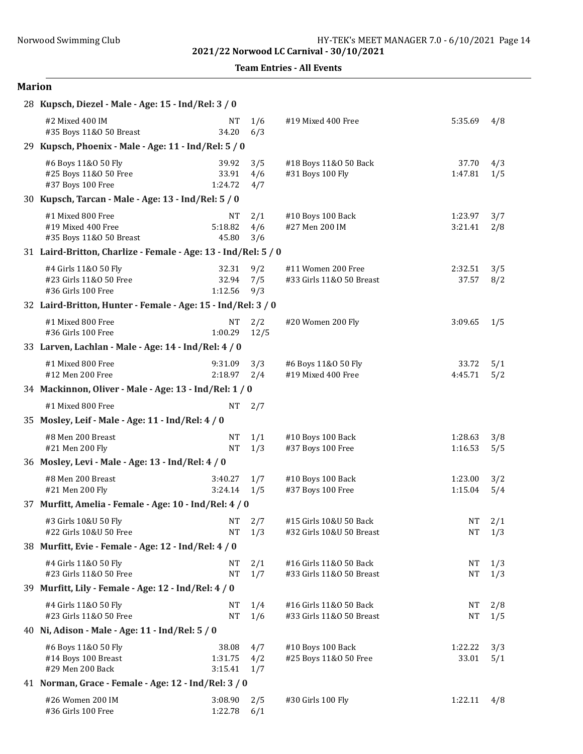Team Entries - All Events

| 28 Kupsch, Diezel - Male - Age: 15 - Ind/Rel: 3 / 0                  |                             |                   |                                                    |                    |            |
|----------------------------------------------------------------------|-----------------------------|-------------------|----------------------------------------------------|--------------------|------------|
| #2 Mixed 400 IM<br>#35 Boys 11&0 50 Breast                           | NT<br>34.20                 | 1/6<br>6/3        | #19 Mixed 400 Free                                 | 5:35.69            | 4/8        |
| 29 Kupsch, Phoenix - Male - Age: 11 - Ind/Rel: 5 / 0                 |                             |                   |                                                    |                    |            |
| #6 Boys 11&0 50 Fly<br>#25 Boys 11&0 50 Free<br>#37 Boys 100 Free    | 39.92<br>33.91<br>1:24.72   | 3/5<br>4/6<br>4/7 | #18 Boys 11&0 50 Back<br>#31 Boys 100 Fly          | 37.70<br>1:47.81   | 4/3<br>1/5 |
| 30 Kupsch, Tarcan - Male - Age: 13 - Ind/Rel: 5 / 0                  |                             |                   |                                                    |                    |            |
| #1 Mixed 800 Free<br>#19 Mixed 400 Free<br>#35 Boys 11&0 50 Breast   | NΤ<br>5:18.82<br>45.80      | 2/1<br>4/6<br>3/6 | #10 Boys 100 Back<br>#27 Men 200 IM                | 1:23.97<br>3:21.41 | 3/7<br>2/8 |
| 31 Laird-Britton, Charlize - Female - Age: 13 - Ind/Rel: 5 / 0       |                             |                   |                                                    |                    |            |
| #4 Girls 11&0 50 Fly<br>#23 Girls 11&0 50 Free<br>#36 Girls 100 Free | 32.31<br>32.94<br>1:12.56   | 9/2<br>7/5<br>9/3 | #11 Women 200 Free<br>#33 Girls 11&0 50 Breast     | 2:32.51<br>37.57   | 3/5<br>8/2 |
| 32 Laird-Britton, Hunter - Female - Age: 15 - Ind/Rel: 3 / 0         |                             |                   |                                                    |                    |            |
| #1 Mixed 800 Free<br>#36 Girls 100 Free                              | <b>NT</b><br>1:00.29        | 2/2<br>12/5       | #20 Women 200 Fly                                  | 3:09.65            | 1/5        |
| 33 Larven, Lachlan - Male - Age: 14 - Ind/Rel: 4 / 0                 |                             |                   |                                                    |                    |            |
| #1 Mixed 800 Free<br>#12 Men 200 Free                                | 9:31.09<br>2:18.97          | 3/3<br>2/4        | #6 Boys 11&0 50 Fly<br>#19 Mixed 400 Free          | 33.72<br>4:45.71   | 5/1<br>5/2 |
| 34 Mackinnon, Oliver - Male - Age: 13 - Ind/Rel: 1 / 0               |                             |                   |                                                    |                    |            |
| #1 Mixed 800 Free                                                    | <b>NT</b>                   | 2/7               |                                                    |                    |            |
| 35 Mosley, Leif - Male - Age: 11 - Ind/Rel: 4 / 0                    |                             |                   |                                                    |                    |            |
| #8 Men 200 Breast<br>#21 Men 200 Fly                                 | NT<br><b>NT</b>             | 1/1<br>1/3        | #10 Boys 100 Back<br>#37 Boys 100 Free             | 1:28.63<br>1:16.53 | 3/8<br>5/5 |
| 36 Mosley, Levi - Male - Age: 13 - Ind/Rel: 4 / 0                    |                             |                   |                                                    |                    |            |
| #8 Men 200 Breast<br>#21 Men 200 Fly                                 | 3:40.27<br>3:24.14          | 1/7<br>1/5        | #10 Boys 100 Back<br>#37 Boys 100 Free             | 1:23.00<br>1:15.04 | 3/2<br>5/4 |
| 37 Murfitt, Amelia - Female - Age: 10 - Ind/Rel: 4 / 0               |                             |                   |                                                    |                    |            |
| #3 Girls 10&U 50 Fly<br>#22 Girls 10&U 50 Free                       | NT<br>NΤ                    | 2/7<br>1/3        | #15 Girls 10&U 50 Back<br>#32 Girls 10&U 50 Breast | NT<br>NT           | 2/1<br>1/3 |
| 38 Murfitt, Evie - Female - Age: 12 - Ind/Rel: 4 / 0                 |                             |                   |                                                    |                    |            |
| #4 Girls 11&0 50 Fly<br>#23 Girls 11&0 50 Free                       | NΤ<br><b>NT</b>             | 2/1<br>1/7        | #16 Girls 11&0 50 Back<br>#33 Girls 11&0 50 Breast | NT<br>NT           | 1/3<br>1/3 |
| 39 Murfitt, Lily - Female - Age: 12 - Ind/Rel: 4 / 0                 |                             |                   |                                                    |                    |            |
| #4 Girls 11&0 50 Fly<br>#23 Girls 11&0 50 Free                       | NΤ<br><b>NT</b>             | 1/4<br>1/6        | #16 Girls 11&0 50 Back<br>#33 Girls 11&0 50 Breast | NT<br><b>NT</b>    | 2/8<br>1/5 |
| 40 Ni, Adison - Male - Age: 11 - Ind/Rel: 5 / 0                      |                             |                   |                                                    |                    |            |
| #6 Boys 11&0 50 Fly<br>#14 Boys 100 Breast<br>#29 Men 200 Back       | 38.08<br>1:31.75<br>3:15.41 | 4/7<br>4/2<br>1/7 | #10 Boys 100 Back<br>#25 Boys 11&0 50 Free         | 1:22.22<br>33.01   | 3/3<br>5/1 |
| 41 Norman, Grace - Female - Age: 12 - Ind/Rel: 3 / 0                 |                             |                   |                                                    |                    |            |
| #26 Women 200 IM<br>#36 Girls 100 Free                               | 3:08.90<br>1:22.78          | 2/5<br>6/1        | #30 Girls 100 Fly                                  | 1:22.11            | 4/8        |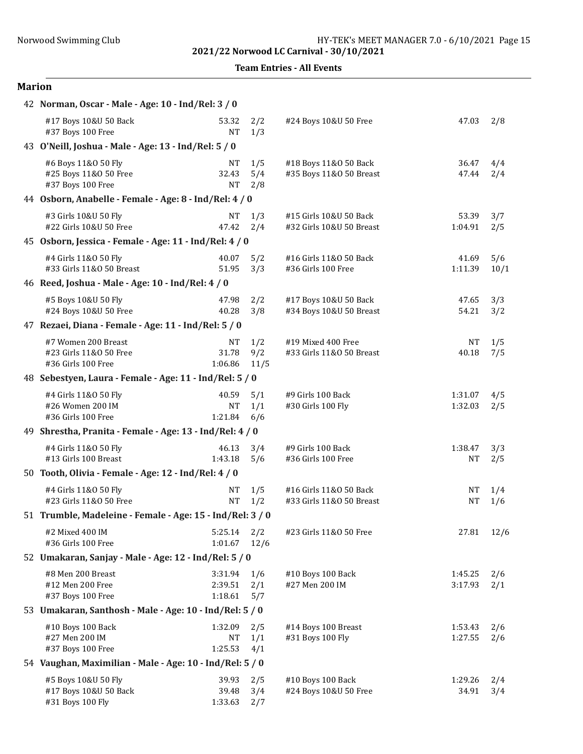Team Entries - All Events

| 42 Norman, Oscar - Male - Age: 10 - Ind/Rel: 3 / 0                  |                               |                    |                                                    |                    |             |
|---------------------------------------------------------------------|-------------------------------|--------------------|----------------------------------------------------|--------------------|-------------|
| #17 Boys 10&U 50 Back<br>#37 Boys 100 Free                          | 53.32<br><b>NT</b>            | 2/2<br>1/3         | #24 Boys 10&U 50 Free                              | 47.03              | 2/8         |
| 43 O'Neill, Joshua - Male - Age: 13 - Ind/Rel: 5 / 0                |                               |                    |                                                    |                    |             |
| #6 Boys 11&0 50 Fly<br>#25 Boys 11&0 50 Free<br>#37 Boys 100 Free   | NT<br>32.43<br><b>NT</b>      | 1/5<br>5/4<br>2/8  | #18 Boys 11&0 50 Back<br>#35 Boys 11&0 50 Breast   | 36.47<br>47.44     | 4/4<br>2/4  |
| 44 Osborn, Anabelle - Female - Age: 8 - Ind/Rel: 4 / 0              |                               |                    |                                                    |                    |             |
| #3 Girls 10&U 50 Fly<br>#22 Girls 10&U 50 Free                      | <b>NT</b><br>47.42            | 1/3<br>2/4         | #15 Girls 10&U 50 Back<br>#32 Girls 10&U 50 Breast | 53.39<br>1:04.91   | 3/7<br>2/5  |
| 45 Osborn, Jessica - Female - Age: 11 - Ind/Rel: 4 / 0              |                               |                    |                                                    |                    |             |
| #4 Girls 11&0 50 Fly<br>#33 Girls 11&0 50 Breast                    | 40.07<br>51.95                | 5/2<br>3/3         | #16 Girls 11&0 50 Back<br>#36 Girls 100 Free       | 41.69<br>1:11.39   | 5/6<br>10/1 |
| 46 Reed, Joshua - Male - Age: 10 - Ind/Rel: 4 / 0                   |                               |                    |                                                    |                    |             |
| #5 Boys 10&U 50 Fly<br>#24 Boys 10&U 50 Free                        | 47.98<br>40.28                | 2/2<br>3/8         | #17 Boys 10&U 50 Back<br>#34 Boys 10&U 50 Breast   | 47.65<br>54.21     | 3/3<br>3/2  |
| 47 Rezaei, Diana - Female - Age: 11 - Ind/Rel: 5 / 0                |                               |                    |                                                    |                    |             |
| #7 Women 200 Breast<br>#23 Girls 11&0 50 Free<br>#36 Girls 100 Free | <b>NT</b><br>31.78<br>1:06.86 | 1/2<br>9/2<br>11/5 | #19 Mixed 400 Free<br>#33 Girls 11&0 50 Breast     | <b>NT</b><br>40.18 | 1/5<br>7/5  |
| 48 Sebestyen, Laura - Female - Age: 11 - Ind/Rel: 5 / 0             |                               |                    |                                                    |                    |             |
| #4 Girls 11&0 50 Fly<br>#26 Women 200 IM<br>#36 Girls 100 Free      | 40.59<br><b>NT</b><br>1:21.84 | 5/1<br>1/1<br>6/6  | #9 Girls 100 Back<br>#30 Girls 100 Fly             | 1:31.07<br>1:32.03 | 4/5<br>2/5  |
| 49 Shrestha, Pranita - Female - Age: 13 - Ind/Rel: 4 / 0            |                               |                    |                                                    |                    |             |
| #4 Girls 11&0 50 Fly<br>#13 Girls 100 Breast                        | 46.13<br>1:43.18              | 3/4<br>5/6         | #9 Girls 100 Back<br>#36 Girls 100 Free            | 1:38.47<br>NΤ      | 3/3<br>2/5  |
| 50 Tooth, Olivia - Female - Age: 12 - Ind/Rel: 4 / 0                |                               |                    |                                                    |                    |             |
| #4 Girls 11&0 50 Fly<br>#23 Girls 11&0 50 Free                      | <b>NT</b><br><b>NT</b>        | 1/5<br>1/2         | #16 Girls 11&0 50 Back<br>#33 Girls 11&0 50 Breast | NΤ<br><b>NT</b>    | 1/4<br>1/6  |
| 51 Trumble, Madeleine - Female - Age: 15 - Ind/Rel: 3 / 0           |                               |                    |                                                    |                    |             |
| #2 Mixed 400 IM<br>#36 Girls 100 Free                               | 5:25.14<br>1:01.67            | 2/2<br>12/6        | #23 Girls 11&0 50 Free                             | 27.81              | 12/6        |
| 52 Umakaran, Sanjay - Male - Age: 12 - Ind/Rel: 5 / 0               |                               |                    |                                                    |                    |             |
| #8 Men 200 Breast<br>#12 Men 200 Free<br>#37 Boys 100 Free          | 3:31.94<br>2:39.51<br>1:18.61 | 1/6<br>2/1<br>5/7  | #10 Boys 100 Back<br>#27 Men 200 IM                | 1:45.25<br>3:17.93 | 2/6<br>2/1  |
| 53 Umakaran, Santhosh - Male - Age: 10 - Ind/Rel: 5 / 0             |                               |                    |                                                    |                    |             |
| #10 Boys 100 Back<br>#27 Men 200 IM<br>#37 Boys 100 Free            | 1:32.09<br>NT<br>1:25.53      | 2/5<br>1/1<br>4/1  | #14 Boys 100 Breast<br>#31 Boys 100 Fly            | 1:53.43<br>1:27.55 | 2/6<br>2/6  |
| 54 Vaughan, Maximilian - Male - Age: 10 - Ind/Rel: 5 / 0            |                               |                    |                                                    |                    |             |
| #5 Boys 10&U 50 Fly<br>#17 Boys 10&U 50 Back<br>#31 Boys 100 Fly    | 39.93<br>39.48<br>1:33.63     | 2/5<br>3/4<br>2/7  | #10 Boys 100 Back<br>#24 Boys 10&U 50 Free         | 1:29.26<br>34.91   | 2/4<br>3/4  |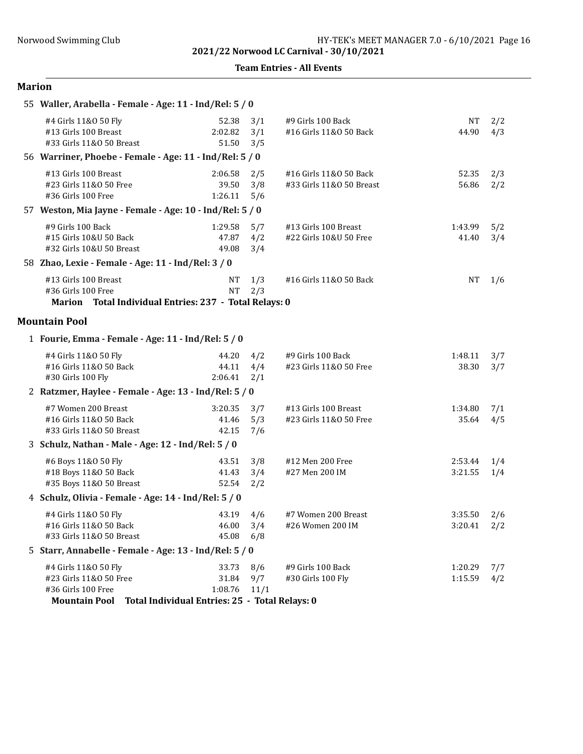|  | <b>Team Entries - All Events</b> |  |  |
|--|----------------------------------|--|--|
|--|----------------------------------|--|--|

| 55 Waller, Arabella - Female - Age: 11 - Ind/Rel: 5 / 0                                              |                                                                             |                    |                                                    |                            |            |
|------------------------------------------------------------------------------------------------------|-----------------------------------------------------------------------------|--------------------|----------------------------------------------------|----------------------------|------------|
| #4 Girls 11&0 50 Fly<br>#13 Girls 100 Breast<br>#33 Girls 11&0 50 Breast                             | 52.38<br>2:02.82<br>51.50                                                   | 3/1<br>3/1<br>3/5  | #9 Girls 100 Back<br>#16 Girls 11&0 50 Back        | <b>NT</b><br>44.90         | 2/2<br>4/3 |
| 56 Warriner, Phoebe - Female - Age: 11 - Ind/Rel: 5 / 0                                              |                                                                             |                    |                                                    |                            |            |
| #13 Girls 100 Breast<br>#23 Girls 11&0 50 Free<br>#36 Girls 100 Free                                 | 2:06.58<br>39.50<br>1:26.11                                                 | 2/5<br>3/8<br>5/6  | #16 Girls 11&0 50 Back<br>#33 Girls 11&0 50 Breast | 52.35<br>56.86             | 2/3<br>2/2 |
| 57 Weston, Mia Jayne - Female - Age: 10 - Ind/Rel: 5 / 0                                             |                                                                             |                    |                                                    |                            |            |
| #9 Girls 100 Back<br>#15 Girls 10&U 50 Back<br>#32 Girls 10&U 50 Breast                              | 1:29.58<br>47.87<br>49.08                                                   | 5/7<br>4/2<br>3/4  | #13 Girls 100 Breast<br>#22 Girls 10&U 50 Free     | 1:43.99<br>41.40           | 5/2<br>3/4 |
| 58 Zhao, Lexie - Female - Age: 11 - Ind/Rel: 3 / 0                                                   |                                                                             |                    |                                                    |                            |            |
| #13 Girls 100 Breast<br>#36 Girls 100 Free<br>Marion Total Individual Entries: 237 - Total Relays: 0 | NT<br><b>NT</b>                                                             | 1/3<br>2/3         | #16 Girls 11&0 50 Back                             | <b>NT</b>                  | 1/6        |
| <b>Mountain Pool</b>                                                                                 |                                                                             |                    |                                                    |                            |            |
| 1 Fourie, Emma - Female - Age: 11 - Ind/Rel: 5 / 0                                                   |                                                                             |                    |                                                    |                            |            |
| #4 Girls 11&0 50 Fly<br>#16 Girls 11&0 50 Back<br>#30 Girls 100 Fly                                  | 44.20<br>44.11<br>2:06.41                                                   | 4/2<br>4/4<br>2/1  | #9 Girls 100 Back<br>#23 Girls 11&0 50 Free        | 1:48.11<br>38.30           | 3/7<br>3/7 |
| 2 Ratzmer, Haylee - Female - Age: 13 - Ind/Rel: 5 / 0                                                |                                                                             |                    |                                                    |                            |            |
| #7 Women 200 Breast<br>#16 Girls 11&0 50 Back<br>#33 Girls 11&0 50 Breast                            | 3:20.35<br>41.46<br>42.15                                                   | 3/7<br>5/3<br>7/6  | #13 Girls 100 Breast<br>#23 Girls 11&0 50 Free     | 1:34.80<br>35.64           | 7/1<br>4/5 |
| 3 Schulz, Nathan - Male - Age: 12 - Ind/Rel: 5 / 0                                                   |                                                                             |                    |                                                    |                            |            |
| #6 Boys 11&0 50 Fly<br>#18 Boys 11&0 50 Back<br>#35 Boys 11&0 50 Breast                              | 43.51<br>41.43<br>52.54                                                     | 3/8<br>3/4<br>2/2  | #12 Men 200 Free<br>#27 Men 200 IM                 | 2:53.44<br>3:21.55         | 1/4<br>1/4 |
| 4 Schulz, Olivia - Female - Age: 14 - Ind/Rel: 5 / 0                                                 |                                                                             |                    |                                                    |                            |            |
| #4 Girls 11&0 50 Fly<br>#16 Girls 11&0 50 Back<br>#33 Girls 11&0 50 Breast                           | 43.19<br>46.00<br>45.08                                                     | 4/6<br>3/4<br>6/8  | #7 Women 200 Breast<br>#26 Women 200 IM            | 3:35.50<br>$3:20.41$ $2/2$ | 2/6        |
| 5 Starr, Annabelle - Female - Age: 13 - Ind/Rel: 5 / 0                                               |                                                                             |                    |                                                    |                            |            |
| #4 Girls 11&0 50 Fly<br>#23 Girls 11&0 50 Free<br>#36 Girls 100 Free<br><b>Mountain Pool</b>         | 33.73<br>31.84<br>1:08.76<br>Total Individual Entries: 25 - Total Relays: 0 | 8/6<br>9/7<br>11/1 | #9 Girls 100 Back<br>#30 Girls 100 Fly             | 1:20.29<br>1:15.59         | 7/7<br>4/2 |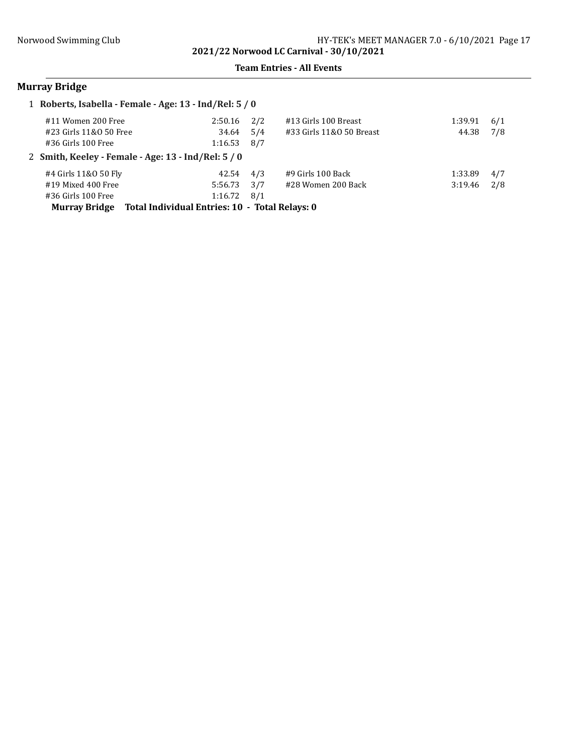#### Team Entries - All Events

# Murray Bridge

|                        | 1 Roberts, Isabella - Female - Age: 13 - Ind/Rel: 5 / 0 |     |                          |         |     |
|------------------------|---------------------------------------------------------|-----|--------------------------|---------|-----|
| #11 Women 200 Free     | 2:50.16                                                 | 2/2 | #13 Girls 100 Breast     | 1:39.91 | 6/1 |
| #23 Girls 11&0 50 Free | 34.64                                                   | 5/4 | #33 Girls 11&0 50 Breast | 44.38   | 7/8 |
| $#36$ Girls 100 Free   | 1:16.53                                                 | 8/7 |                          |         |     |
|                        | 2 Smith, Keeley - Female - Age: 13 - Ind/Rel: 5 / 0     |     |                          |         |     |
| #4 Girls 11&0 50 Fly   | 42.54                                                   | 4/3 | #9 Girls 100 Back        | 1:33.89 | 4/7 |
| #19 Mixed 400 Free     | 5:56.73                                                 | 3/7 | #28 Women 200 Back       | 3:19.46 | 2/8 |
| $#36$ Girls 100 Free   | 1:16.72                                                 | 8/1 |                          |         |     |
| <b>Murray Bridge</b>   | Total Individual Entries: 10 - Total Relays: 0          |     |                          |         |     |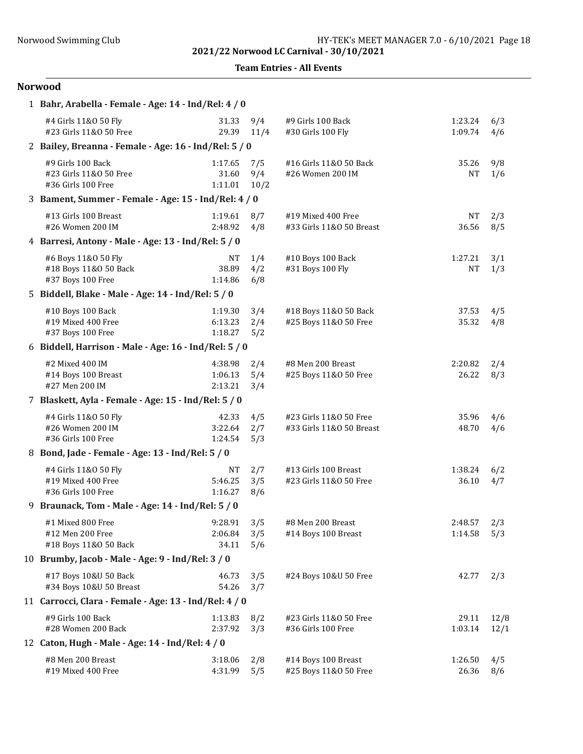Team Entries - All Events

| 1 Bahr, Arabella - Female - Age: 14 - Ind/Rel: 4 / 0              |                                   |                    |                                                    |                      |              |
|-------------------------------------------------------------------|-----------------------------------|--------------------|----------------------------------------------------|----------------------|--------------|
| #4 Girls 11&0 50 Fly<br>#23 Girls 11&0 50 Free                    | 31.33<br>29.39                    | 9/4<br>11/4        | #9 Girls 100 Back<br>#30 Girls 100 Fly             | 1:23.24<br>1:09.74   | 6/3<br>4/6   |
| 2 Bailey, Breanna - Female - Age: 16 - Ind/Rel: 5 / 0             |                                   |                    |                                                    |                      |              |
| #9 Girls 100 Back<br>#23 Girls 11&0 50 Free<br>#36 Girls 100 Free | 1:17.65<br>31.60<br>1:11.01       | 7/5<br>9/4<br>10/2 | #16 Girls 11&0 50 Back<br>#26 Women 200 IM         | 35.26<br>NΤ          | 9/8<br>1/6   |
| 3 Bament, Summer - Female - Age: 15 - Ind/Rel: 4 / 0              |                                   |                    |                                                    |                      |              |
| #13 Girls 100 Breast<br>#26 Women 200 IM                          | 1:19.61<br>2:48.92                | 8/7<br>4/8         | #19 Mixed 400 Free<br>#33 Girls 11&0 50 Breast     | <b>NT</b><br>36.56   | 2/3<br>8/5   |
| 4 Barresi, Antony - Male - Age: 13 - Ind/Rel: 5 / 0               |                                   |                    |                                                    |                      |              |
| #6 Boys 11&0 50 Fly<br>#18 Boys 11&0 50 Back<br>#37 Boys 100 Free | <b>NT</b><br>38.89<br>1:14.86     | 1/4<br>4/2<br>6/8  | #10 Boys 100 Back<br>#31 Boys 100 Fly              | 1:27.21<br><b>NT</b> | 3/1<br>1/3   |
| 5 Biddell, Blake - Male - Age: 14 - Ind/Rel: 5 / 0                |                                   |                    |                                                    |                      |              |
| #10 Boys 100 Back<br>#19 Mixed 400 Free<br>#37 Boys 100 Free      | 1:19.30<br>6:13.23<br>1:18.27     | 3/4<br>2/4<br>5/2  | #18 Boys 11&0 50 Back<br>#25 Boys 11&0 50 Free     | 37.53<br>35.32       | 4/5<br>4/8   |
| 6 Biddell, Harrison - Male - Age: 16 - Ind/Rel: 5 / 0             |                                   |                    |                                                    |                      |              |
| #2 Mixed 400 IM<br>#14 Boys 100 Breast<br>#27 Men 200 IM          | 4:38.98<br>1:06.13<br>2:13.21     | 2/4<br>5/4<br>3/4  | #8 Men 200 Breast<br>#25 Boys 11&0 50 Free         | 2:20.82<br>26.22     | 2/4<br>8/3   |
| 7 Blaskett, Ayla - Female - Age: 15 - Ind/Rel: 5 / 0              |                                   |                    |                                                    |                      |              |
| #4 Girls 11&0 50 Fly<br>#26 Women 200 IM<br>#36 Girls 100 Free    | 42.33<br>3:22.64<br>1:24.54       | 4/5<br>2/7<br>5/3  | #23 Girls 11&0 50 Free<br>#33 Girls 11&0 50 Breast | 35.96<br>48.70       | 4/6<br>4/6   |
| 8 Bond, Jade - Female - Age: 13 - Ind/Rel: 5 / 0                  |                                   |                    |                                                    |                      |              |
| #4 Girls 11&0 50 Fly<br>#19 Mixed 400 Free<br>#36 Girls 100 Free  | <b>NT</b><br>5:46.25<br>1:16.27   | 2/7<br>3/5<br>8/6  | #13 Girls 100 Breast<br>#23 Girls 11&0 50 Free     | 1:38.24<br>36.10     | 6/2<br>4/7   |
| 9 Braunack, Tom - Male - Age: 14 - Ind/Rel: 5 / 0                 |                                   |                    |                                                    |                      |              |
| #1 Mixed 800 Free<br>#12 Men 200 Free<br>#18 Boys 11&0 50 Back    | $9:28.91$ 3/5<br>2:06.84<br>34.11 | 3/5<br>5/6         | #8 Men 200 Breast<br>#14 Boys 100 Breast           | 2:48.57<br>1:14.58   | 2/3<br>5/3   |
| 10 Brumby, Jacob - Male - Age: 9 - Ind/Rel: 3 / 0                 |                                   |                    |                                                    |                      |              |
| #17 Boys 10&U 50 Back<br>#34 Boys 10&U 50 Breast                  | 46.73<br>54.26                    | 3/5<br>3/7         | #24 Boys 10&U 50 Free                              | 42.77                | 2/3          |
| 11 Carrocci, Clara - Female - Age: 13 - Ind/Rel: 4 / 0            |                                   |                    |                                                    |                      |              |
| #9 Girls 100 Back<br>#28 Women 200 Back                           | 1:13.83<br>2:37.92                | 8/2<br>3/3         | #23 Girls 11&0 50 Free<br>#36 Girls 100 Free       | 29.11<br>1:03.14     | 12/8<br>12/1 |
| 12 Caton, Hugh - Male - Age: 14 - Ind/Rel: 4 / 0                  |                                   |                    |                                                    |                      |              |
| #8 Men 200 Breast<br>#19 Mixed 400 Free                           | 3:18.06<br>4:31.99                | 2/8<br>5/5         | #14 Boys 100 Breast<br>#25 Boys 11&0 50 Free       | 1:26.50<br>26.36     | 4/5<br>8/6   |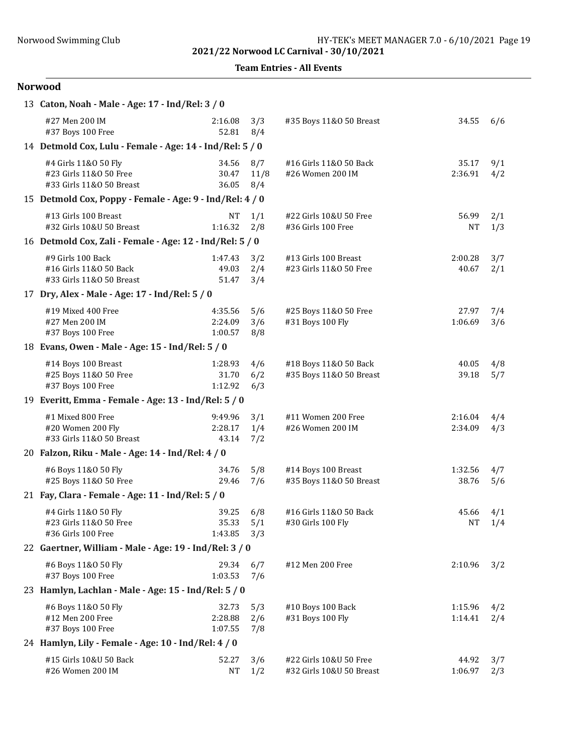Team Entries - All Events

| 13 Caton, Noah - Male - Age: 17 - Ind/Rel: 3 / 0                           |                               |                    |                                                    |                    |            |
|----------------------------------------------------------------------------|-------------------------------|--------------------|----------------------------------------------------|--------------------|------------|
| #27 Men 200 IM<br>#37 Boys 100 Free                                        | 2:16.08<br>52.81              | 3/3<br>8/4         | #35 Boys 11&0 50 Breast                            | 34.55              | 6/6        |
| 14 Detmold Cox, Lulu - Female - Age: 14 - Ind/Rel: 5 / 0                   |                               |                    |                                                    |                    |            |
| #4 Girls 11&0 50 Fly<br>#23 Girls 11&0 50 Free<br>#33 Girls 11&0 50 Breast | 34.56<br>30.47<br>36.05       | 8/7<br>11/8<br>8/4 | #16 Girls 11&0 50 Back<br>#26 Women 200 IM         | 35.17<br>2:36.91   | 9/1<br>4/2 |
| 15 Detmold Cox, Poppy - Female - Age: 9 - Ind/Rel: 4 / 0                   |                               |                    |                                                    |                    |            |
| #13 Girls 100 Breast<br>#32 Girls 10&U 50 Breast                           | NΤ<br>1:16.32                 | 1/1<br>2/8         | #22 Girls 10&U 50 Free<br>#36 Girls 100 Free       | 56.99<br>NT        | 2/1<br>1/3 |
| 16 Detmold Cox, Zali - Female - Age: 12 - Ind/Rel: 5 / 0                   |                               |                    |                                                    |                    |            |
| #9 Girls 100 Back<br>#16 Girls 11&0 50 Back<br>#33 Girls 11&0 50 Breast    | 1:47.43<br>49.03<br>51.47     | 3/2<br>2/4<br>3/4  | #13 Girls 100 Breast<br>#23 Girls 11&0 50 Free     | 2:00.28<br>40.67   | 3/7<br>2/1 |
| 17 Dry, Alex - Male - Age: 17 - Ind/Rel: 5 / 0                             |                               |                    |                                                    |                    |            |
| #19 Mixed 400 Free<br>#27 Men 200 IM<br>#37 Boys 100 Free                  | 4:35.56<br>2:24.09<br>1:00.57 | 5/6<br>3/6<br>8/8  | #25 Boys 11&0 50 Free<br>#31 Boys 100 Fly          | 27.97<br>1:06.69   | 7/4<br>3/6 |
| 18 Evans, Owen - Male - Age: 15 - Ind/Rel: 5 / 0                           |                               |                    |                                                    |                    |            |
| #14 Boys 100 Breast<br>#25 Boys 11&0 50 Free<br>#37 Boys 100 Free          | 1:28.93<br>31.70<br>1:12.92   | 4/6<br>6/2<br>6/3  | #18 Boys 11&0 50 Back<br>#35 Boys 11&0 50 Breast   | 40.05<br>39.18     | 4/8<br>5/7 |
| 19 Everitt, Emma - Female - Age: 13 - Ind/Rel: 5 / 0                       |                               |                    |                                                    |                    |            |
| #1 Mixed 800 Free<br>#20 Women 200 Fly<br>#33 Girls 11&0 50 Breast         | 9:49.96<br>2:28.17<br>43.14   | 3/1<br>1/4<br>7/2  | #11 Women 200 Free<br>#26 Women 200 IM             | 2:16.04<br>2:34.09 | 4/4<br>4/3 |
| 20 Falzon, Riku - Male - Age: 14 - Ind/Rel: 4 / 0                          |                               |                    |                                                    |                    |            |
| #6 Boys 11&0 50 Fly<br>#25 Boys 11&0 50 Free                               | 34.76<br>29.46                | 5/8<br>7/6         | #14 Boys 100 Breast<br>#35 Boys 11&0 50 Breast     | 1:32.56<br>38.76   | 4/7<br>5/6 |
| 21 Fay, Clara - Female - Age: 11 - Ind/Rel: 5 / 0                          |                               |                    |                                                    |                    |            |
| #4 Girls 11&0 50 Fly<br>#23 Girls 11&0 50 Free<br>#36 Girls 100 Free       | 39.25<br>35.33<br>1:43.85     | 6/8<br>5/1<br>3/3  | #16 Girls 11&0 50 Back<br>#30 Girls 100 Fly        | 45.66<br>NΤ        | 4/1<br>1/4 |
| 22 Gaertner, William - Male - Age: 19 - Ind/Rel: 3 / 0                     |                               |                    |                                                    |                    |            |
| #6 Boys 11&0 50 Fly<br>#37 Boys 100 Free                                   | 29.34<br>1:03.53              | 6/7<br>7/6         | #12 Men 200 Free                                   | 2:10.96            | 3/2        |
| 23 Hamlyn, Lachlan - Male - Age: 15 - Ind/Rel: 5 / 0                       |                               |                    |                                                    |                    |            |
| #6 Boys 11&0 50 Fly<br>#12 Men 200 Free<br>#37 Boys 100 Free               | 32.73<br>2:28.88<br>1:07.55   | 5/3<br>2/6<br>7/8  | #10 Boys 100 Back<br>#31 Boys 100 Fly              | 1:15.96<br>1:14.41 | 4/2<br>2/4 |
| 24 Hamlyn, Lily - Female - Age: 10 - Ind/Rel: 4 / 0                        |                               |                    |                                                    |                    |            |
| #15 Girls 10&U 50 Back<br>#26 Women 200 IM                                 | 52.27<br><b>NT</b>            | 3/6<br>1/2         | #22 Girls 10&U 50 Free<br>#32 Girls 10&U 50 Breast | 44.92<br>1:06.97   | 3/7<br>2/3 |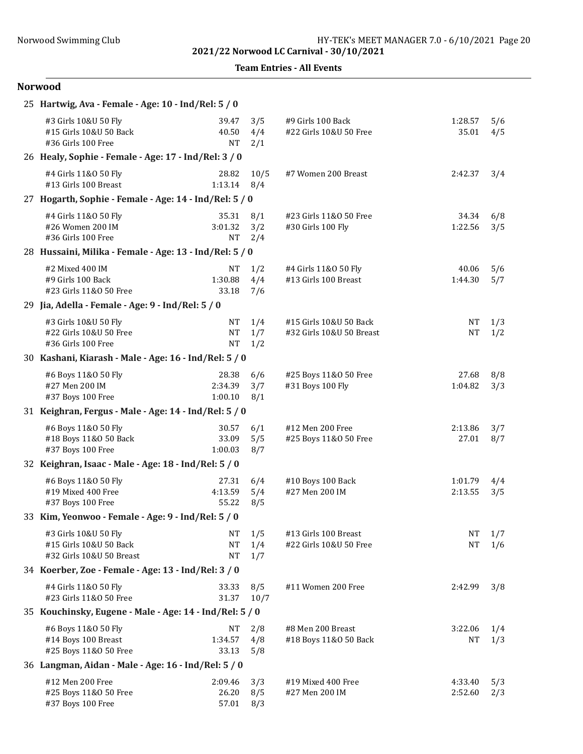Team Entries - All Events

| 25 Hartwig, Ava - Female - Age: 10 - Ind/Rel: 5 / 0                        |                               |                   |                                                    |                        |            |
|----------------------------------------------------------------------------|-------------------------------|-------------------|----------------------------------------------------|------------------------|------------|
| #3 Girls 10&U 50 Fly<br>#15 Girls 10&U 50 Back<br>#36 Girls 100 Free       | 39.47<br>40.50<br><b>NT</b>   | 3/5<br>4/4<br>2/1 | #9 Girls 100 Back<br>#22 Girls 10&U 50 Free        | 1:28.57<br>35.01       | 5/6<br>4/5 |
| 26 Healy, Sophie - Female - Age: 17 - Ind/Rel: 3 / 0                       |                               |                   |                                                    |                        |            |
| #4 Girls 11&0 50 Fly<br>#13 Girls 100 Breast                               | 28.82<br>1:13.14              | 10/5<br>8/4       | #7 Women 200 Breast                                | 2:42.37                | 3/4        |
| 27 Hogarth, Sophie - Female - Age: 14 - Ind/Rel: 5 / 0                     |                               |                   |                                                    |                        |            |
| #4 Girls 11&0 50 Fly<br>#26 Women 200 IM<br>#36 Girls 100 Free             | 35.31<br>3:01.32<br><b>NT</b> | 8/1<br>3/2<br>2/4 | #23 Girls 11&0 50 Free<br>#30 Girls 100 Fly        | 34.34<br>1:22.56       | 6/8<br>3/5 |
| 28 Hussaini, Milika - Female - Age: 13 - Ind/Rel: 5 / 0                    |                               |                   |                                                    |                        |            |
| #2 Mixed 400 IM<br>#9 Girls 100 Back<br>#23 Girls 11&0 50 Free             | NT<br>1:30.88<br>33.18        | 1/2<br>4/4<br>7/6 | #4 Girls 11&0 50 Fly<br>#13 Girls 100 Breast       | 40.06<br>1:44.30       | 5/6<br>5/7 |
| 29 Jia, Adella - Female - Age: 9 - Ind/Rel: 5 / 0                          |                               |                   |                                                    |                        |            |
| #3 Girls 10&U 50 Fly<br>#22 Girls 10&U 50 Free<br>#36 Girls 100 Free       | NT<br>$\rm{NT}$<br><b>NT</b>  | 1/4<br>1/7<br>1/2 | #15 Girls 10&U 50 Back<br>#32 Girls 10&U 50 Breast | <b>NT</b><br><b>NT</b> | 1/3<br>1/2 |
| 30 Kashani, Kiarash - Male - Age: 16 - Ind/Rel: 5 / 0                      |                               |                   |                                                    |                        |            |
| #6 Boys 11&0 50 Fly<br>#27 Men 200 IM<br>#37 Boys 100 Free                 | 28.38<br>2:34.39<br>1:00.10   | 6/6<br>3/7<br>8/1 | #25 Boys 11&0 50 Free<br>#31 Boys 100 Fly          | 27.68<br>1:04.82       | 8/8<br>3/3 |
| 31 Keighran, Fergus - Male - Age: 14 - Ind/Rel: 5 / 0                      |                               |                   |                                                    |                        |            |
| #6 Boys 11&0 50 Fly<br>#18 Boys 11&0 50 Back<br>#37 Boys 100 Free          | 30.57<br>33.09<br>1:00.03     | 6/1<br>5/5<br>8/7 | #12 Men 200 Free<br>#25 Boys 11&0 50 Free          | 2:13.86<br>27.01       | 3/7<br>8/7 |
| 32 Keighran, Isaac - Male - Age: 18 - Ind/Rel: 5 / 0                       |                               |                   |                                                    |                        |            |
| #6 Boys 11&0 50 Fly<br>#19 Mixed 400 Free<br>#37 Boys 100 Free             | 27.31<br>4:13.59<br>55.22     | 6/4<br>5/4<br>8/5 | #10 Boys 100 Back<br>#27 Men 200 IM                | 1:01.79<br>2:13.55     | 4/4<br>3/5 |
| 33 Kim, Yeonwoo - Female - Age: 9 - Ind/Rel: 5 / 0                         |                               |                   |                                                    |                        |            |
| #3 Girls 10&U 50 Fly<br>#15 Girls 10&U 50 Back<br>#32 Girls 10&U 50 Breast | NT<br>NT<br><b>NT</b>         | 1/5<br>1/4<br>1/7 | #13 Girls 100 Breast<br>#22 Girls 10&U 50 Free     | NT<br><b>NT</b>        | 1/7<br>1/6 |
| 34 Koerber, Zoe - Female - Age: 13 - Ind/Rel: 3 / 0                        |                               |                   |                                                    |                        |            |
| #4 Girls 11&0 50 Fly<br>#23 Girls 11&0 50 Free                             | 33.33<br>31.37                | 8/5<br>10/7       | #11 Women 200 Free                                 | 2:42.99                | 3/8        |
| 35 Kouchinsky, Eugene - Male - Age: 14 - Ind/Rel: 5 / 0                    |                               |                   |                                                    |                        |            |
| #6 Boys 11&0 50 Fly<br>#14 Boys 100 Breast<br>#25 Boys 11&0 50 Free        | NT<br>1:34.57<br>33.13        | 2/8<br>4/8<br>5/8 | #8 Men 200 Breast<br>#18 Boys 11&0 50 Back         | 3:22.06<br>NT          | 1/4<br>1/3 |
| 36 Langman, Aidan - Male - Age: 16 - Ind/Rel: 5 / 0                        |                               |                   |                                                    |                        |            |
| #12 Men 200 Free<br>#25 Boys 11&0 50 Free<br>#37 Boys 100 Free             | 2:09.46<br>26.20<br>57.01     | 3/3<br>8/5<br>8/3 | #19 Mixed 400 Free<br>#27 Men 200 IM               | 4:33.40<br>2:52.60     | 5/3<br>2/3 |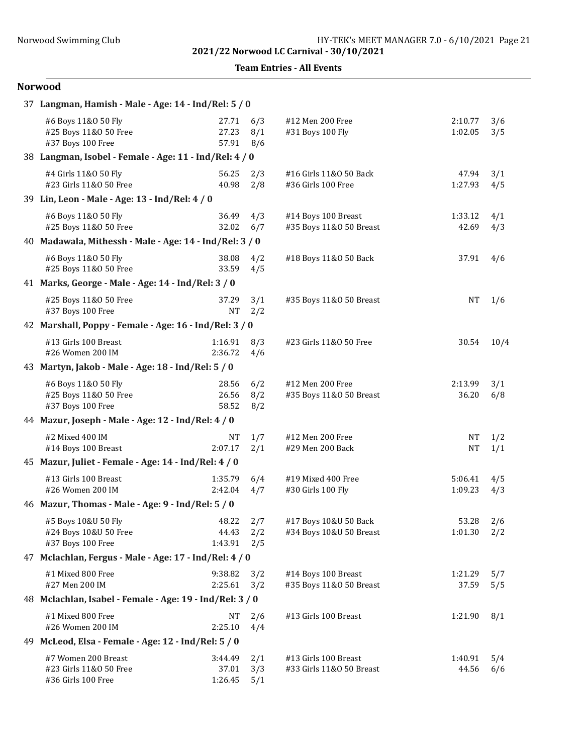Team Entries - All Events

| 37 Langman, Hamish - Male - Age: 14 - Ind/Rel: 5 / 0                |                             |                   |                                                  |                    |            |  |  |
|---------------------------------------------------------------------|-----------------------------|-------------------|--------------------------------------------------|--------------------|------------|--|--|
| #6 Boys 11&0 50 Fly<br>#25 Boys 11&0 50 Free<br>#37 Boys 100 Free   | 27.71<br>27.23<br>57.91     | 6/3<br>8/1<br>8/6 | #12 Men 200 Free<br>#31 Boys 100 Fly             | 2:10.77<br>1:02.05 | 3/6<br>3/5 |  |  |
| 38 Langman, Isobel - Female - Age: 11 - Ind/Rel: 4 / 0              |                             |                   |                                                  |                    |            |  |  |
| #4 Girls 11&0 50 Fly<br>#23 Girls 11&0 50 Free                      | 56.25<br>40.98              | 2/3<br>2/8        | #16 Girls 11&0 50 Back<br>#36 Girls 100 Free     | 47.94<br>1:27.93   | 3/1<br>4/5 |  |  |
| 39 Lin, Leon - Male - Age: 13 - Ind/Rel: 4 / 0                      |                             |                   |                                                  |                    |            |  |  |
| #6 Boys 11&0 50 Fly<br>#25 Boys 11&0 50 Free                        | 36.49<br>32.02              | 4/3<br>6/7        | #14 Boys 100 Breast<br>#35 Boys 11&0 50 Breast   | 1:33.12<br>42.69   | 4/1<br>4/3 |  |  |
| 40 Madawala, Mithessh - Male - Age: 14 - Ind/Rel: 3 / 0             |                             |                   |                                                  |                    |            |  |  |
| #6 Boys 11&0 50 Fly<br>#25 Boys 11&0 50 Free                        | 38.08<br>33.59              | 4/2<br>4/5        | #18 Boys 11&0 50 Back                            | 37.91              | 4/6        |  |  |
| 41 Marks, George - Male - Age: 14 - Ind/Rel: 3 / 0                  |                             |                   |                                                  |                    |            |  |  |
| #25 Boys 11&0 50 Free<br>#37 Boys 100 Free                          | 37.29<br><b>NT</b>          | 3/1<br>2/2        | #35 Boys 11&0 50 Breast                          | <b>NT</b>          | 1/6        |  |  |
| 42 Marshall, Poppy - Female - Age: 16 - Ind/Rel: 3 / 0              |                             |                   |                                                  |                    |            |  |  |
| #13 Girls 100 Breast<br>#26 Women 200 IM                            | 1:16.91<br>2:36.72          | 8/3<br>4/6        | #23 Girls 11&0 50 Free                           | 30.54              | 10/4       |  |  |
| 43 Martyn, Jakob - Male - Age: 18 - Ind/Rel: 5 / 0                  |                             |                   |                                                  |                    |            |  |  |
| #6 Boys 11&0 50 Fly<br>#25 Boys 11&0 50 Free<br>#37 Boys 100 Free   | 28.56<br>26.56<br>58.52     | 6/2<br>8/2<br>8/2 | #12 Men 200 Free<br>#35 Boys 11&0 50 Breast      | 2:13.99<br>36.20   | 3/1<br>6/8 |  |  |
| 44 Mazur, Joseph - Male - Age: 12 - Ind/Rel: 4 / 0                  |                             |                   |                                                  |                    |            |  |  |
| #2 Mixed 400 IM<br>#14 Boys 100 Breast                              | <b>NT</b><br>2:07.17        | 1/7<br>2/1        | #12 Men 200 Free<br>#29 Men 200 Back             | NT<br><b>NT</b>    | 1/2<br>1/1 |  |  |
| 45 Mazur, Juliet - Female - Age: 14 - Ind/Rel: 4 / 0                |                             |                   |                                                  |                    |            |  |  |
| #13 Girls 100 Breast<br>#26 Women 200 IM                            | 1:35.79<br>2:42.04          | 6/4<br>4/7        | #19 Mixed 400 Free<br>#30 Girls 100 Fly          | 5:06.41<br>1:09.23 | 4/5<br>4/3 |  |  |
| 46 Mazur, Thomas - Male - Age: 9 - Ind/Rel: 5 / 0                   |                             |                   |                                                  |                    |            |  |  |
| #5 Boys 10&U 50 Fly<br>#24 Boys 10&U 50 Free<br>#37 Boys 100 Free   | 48.22<br>44.43<br>1:43.91   | 2/7<br>2/2<br>2/5 | #17 Boys 10&U 50 Back<br>#34 Boys 10&U 50 Breast | 53.28<br>1:01.30   | 2/6<br>2/2 |  |  |
| 47 Mclachlan, Fergus - Male - Age: 17 - Ind/Rel: 4 / 0              |                             |                   |                                                  |                    |            |  |  |
| #1 Mixed 800 Free<br>#27 Men 200 IM                                 | 9:38.82<br>2:25.61          | 3/2<br>3/2        | #14 Boys 100 Breast<br>#35 Boys 11&0 50 Breast   | 1:21.29<br>37.59   | 5/7<br>5/5 |  |  |
| 48 Mclachlan, Isabel - Female - Age: 19 - Ind/Rel: 3 / 0            |                             |                   |                                                  |                    |            |  |  |
| #1 Mixed 800 Free<br>#26 Women 200 IM                               | NT<br>2:25.10               | 2/6<br>4/4        | #13 Girls 100 Breast                             | 1:21.90            | 8/1        |  |  |
| 49 McLeod, Elsa - Female - Age: 12 - Ind/Rel: 5 / 0                 |                             |                   |                                                  |                    |            |  |  |
| #7 Women 200 Breast<br>#23 Girls 11&0 50 Free<br>#36 Girls 100 Free | 3:44.49<br>37.01<br>1:26.45 | 2/1<br>3/3<br>5/1 | #13 Girls 100 Breast<br>#33 Girls 11&0 50 Breast | 1:40.91<br>44.56   | 5/4<br>6/6 |  |  |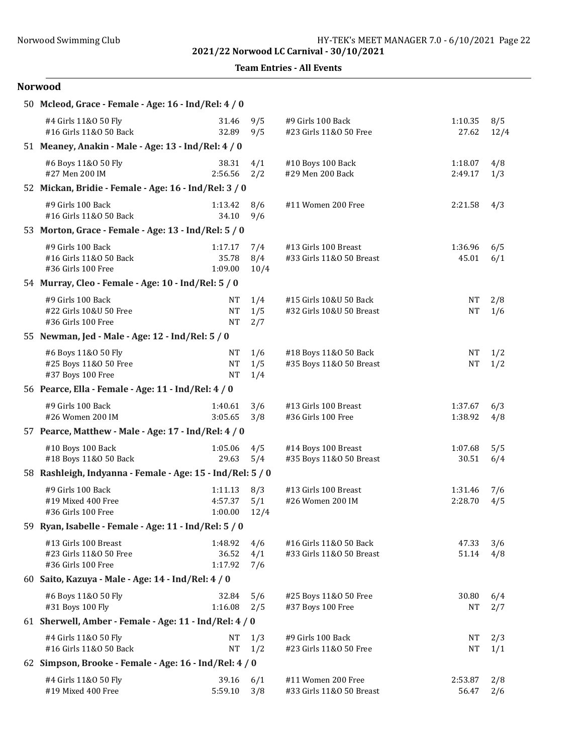Team Entries - All Events

| 50 Mcleod, Grace - Female - Age: 16 - Ind/Rel: 4 / 0                 |                                     |                    |                                                    |                        |             |
|----------------------------------------------------------------------|-------------------------------------|--------------------|----------------------------------------------------|------------------------|-------------|
| #4 Girls 11&0 50 Fly<br>#16 Girls 11&0 50 Back                       | 31.46<br>32.89                      | 9/5<br>9/5         | #9 Girls 100 Back<br>#23 Girls 11&0 50 Free        | 1:10.35<br>27.62       | 8/5<br>12/4 |
| 51 Meaney, Anakin - Male - Age: 13 - Ind/Rel: 4 / 0                  |                                     |                    |                                                    |                        |             |
| #6 Boys 11&0 50 Fly<br>#27 Men 200 IM                                | 38.31<br>2:56.56                    | 4/1<br>2/2         | #10 Boys 100 Back<br>#29 Men 200 Back              | 1:18.07<br>2:49.17     | 4/8<br>1/3  |
| 52 Mickan, Bridie - Female - Age: 16 - Ind/Rel: 3 / 0                |                                     |                    |                                                    |                        |             |
| #9 Girls 100 Back<br>#16 Girls 11&0 50 Back                          | 1:13.42<br>34.10                    | 8/6<br>9/6         | #11 Women 200 Free                                 | 2:21.58                | 4/3         |
| 53 Morton, Grace - Female - Age: 13 - Ind/Rel: 5 / 0                 |                                     |                    |                                                    |                        |             |
| #9 Girls 100 Back<br>#16 Girls 11&0 50 Back<br>#36 Girls 100 Free    | 1:17.17<br>35.78<br>1:09.00         | 7/4<br>8/4<br>10/4 | #13 Girls 100 Breast<br>#33 Girls 11&0 50 Breast   | 1:36.96<br>45.01       | 6/5<br>6/1  |
| 54 Murray, Cleo - Female - Age: 10 - Ind/Rel: 5 / 0                  |                                     |                    |                                                    |                        |             |
| #9 Girls 100 Back<br>#22 Girls 10&U 50 Free<br>#36 Girls 100 Free    | <b>NT</b><br>$\rm{NT}$<br><b>NT</b> | 1/4<br>1/5<br>2/7  | #15 Girls 10&U 50 Back<br>#32 Girls 10&U 50 Breast | NT<br><b>NT</b>        | 2/8<br>1/6  |
| 55 Newman, Jed - Male - Age: 12 - Ind/Rel: 5 / 0                     |                                     |                    |                                                    |                        |             |
| #6 Boys 11&0 50 Fly<br>#25 Boys 11&0 50 Free<br>#37 Boys 100 Free    | NT<br>$\rm{NT}$<br><b>NT</b>        | 1/6<br>1/5<br>1/4  | #18 Boys 11&0 50 Back<br>#35 Boys 11&0 50 Breast   | $\rm{NT}$<br><b>NT</b> | 1/2<br>1/2  |
| 56 Pearce, Ella - Female - Age: 11 - Ind/Rel: 4 / 0                  |                                     |                    |                                                    |                        |             |
| #9 Girls 100 Back<br>#26 Women 200 IM                                | 1:40.61<br>3:05.65                  | 3/6<br>3/8         | #13 Girls 100 Breast<br>#36 Girls 100 Free         | 1:37.67<br>1:38.92     | 6/3<br>4/8  |
| 57 Pearce, Matthew - Male - Age: 17 - Ind/Rel: 4 / 0                 |                                     |                    |                                                    |                        |             |
| #10 Boys 100 Back<br>#18 Boys 11&0 50 Back                           | 1:05.06<br>29.63                    | 4/5<br>5/4         | #14 Boys 100 Breast<br>#35 Boys 11&0 50 Breast     | 1:07.68<br>30.51       | 5/5<br>6/4  |
| 58 Rashleigh, Indyanna - Female - Age: 15 - Ind/Rel: 5 / 0           |                                     |                    |                                                    |                        |             |
| #9 Girls 100 Back<br>#19 Mixed 400 Free<br>#36 Girls 100 Free        | 1:11.13<br>4:57.37<br>1:00.00       | 8/3<br>5/1<br>12/4 | #13 Girls 100 Breast<br>#26 Women 200 IM           | 1:31.46<br>2:28.70     | 7/6<br>4/5  |
| 59 Ryan, Isabelle - Female - Age: 11 - Ind/Rel: 5 / 0                |                                     |                    |                                                    |                        |             |
| #13 Girls 100 Breast<br>#23 Girls 11&0 50 Free<br>#36 Girls 100 Free | 1:48.92<br>36.52<br>1:17.92         | 4/6<br>4/1<br>7/6  | #16 Girls 11&0 50 Back<br>#33 Girls 11&0 50 Breast | 47.33<br>51.14         | 3/6<br>4/8  |
| 60 Saito, Kazuya - Male - Age: 14 - Ind/Rel: 4 / 0                   |                                     |                    |                                                    |                        |             |
| #6 Boys 11&0 50 Fly<br>#31 Boys 100 Fly                              | 32.84<br>1:16.08                    | 5/6<br>2/5         | #25 Boys 11&0 50 Free<br>#37 Boys 100 Free         | 30.80<br><b>NT</b>     | 6/4<br>2/7  |
| 61 Sherwell, Amber - Female - Age: 11 - Ind/Rel: 4 / 0               |                                     |                    |                                                    |                        |             |
| #4 Girls 11&0 50 Fly<br>#16 Girls 11&0 50 Back                       | <b>NT</b><br><b>NT</b>              | 1/3<br>1/2         | #9 Girls 100 Back<br>#23 Girls 11&0 50 Free        | NT<br>NΤ               | 2/3<br>1/1  |
| 62 Simpson, Brooke - Female - Age: 16 - Ind/Rel: 4 / 0               |                                     |                    |                                                    |                        |             |
| #4 Girls 11&0 50 Fly<br>#19 Mixed 400 Free                           | 39.16<br>5:59.10                    | 6/1<br>3/8         | #11 Women 200 Free<br>#33 Girls 11&0 50 Breast     | 2:53.87<br>56.47       | 2/8<br>2/6  |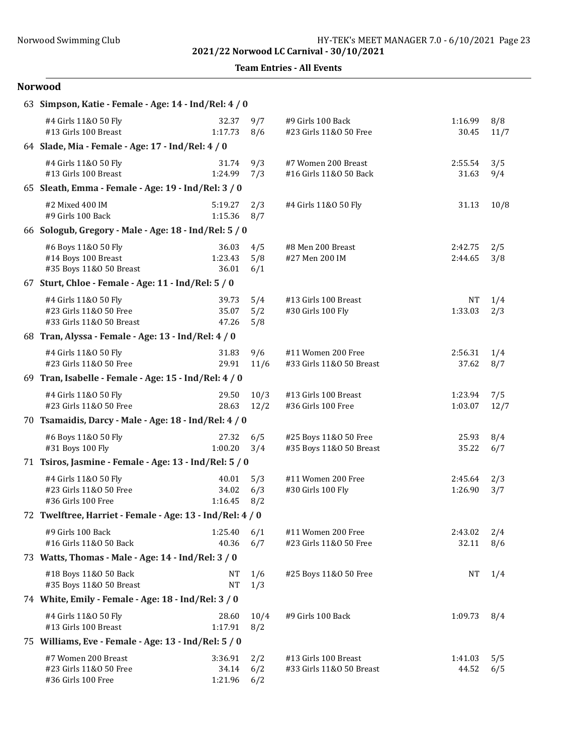Team Entries - All Events

| 63 Simpson, Katie - Female - Age: 14 - Ind/Rel: 4 / 0                      |                             |                   |                                                  |                      |             |
|----------------------------------------------------------------------------|-----------------------------|-------------------|--------------------------------------------------|----------------------|-------------|
| #4 Girls 11&0 50 Fly<br>#13 Girls 100 Breast                               | 32.37<br>1:17.73            | 9/7<br>8/6        | #9 Girls 100 Back<br>#23 Girls 11&0 50 Free      | 1:16.99<br>30.45     | 8/8<br>11/7 |
| 64 Slade, Mia - Female - Age: 17 - Ind/Rel: 4 / 0                          |                             |                   |                                                  |                      |             |
| #4 Girls 11&0 50 Fly<br>#13 Girls 100 Breast                               | 31.74<br>1:24.99            | 9/3<br>7/3        | #7 Women 200 Breast<br>#16 Girls 11&0 50 Back    | 2:55.54<br>31.63     | 3/5<br>9/4  |
| 65 Sleath, Emma - Female - Age: 19 - Ind/Rel: 3 / 0                        |                             |                   |                                                  |                      |             |
| #2 Mixed 400 IM<br>#9 Girls 100 Back                                       | 5:19.27<br>1:15.36          | 2/3<br>8/7        | #4 Girls 11&0 50 Fly                             | 31.13                | 10/8        |
| 66 Sologub, Gregory - Male - Age: 18 - Ind/Rel: 5 / 0                      |                             |                   |                                                  |                      |             |
| #6 Boys 11&0 50 Fly<br>#14 Boys 100 Breast<br>#35 Boys 11&0 50 Breast      | 36.03<br>1:23.43<br>36.01   | 4/5<br>5/8<br>6/1 | #8 Men 200 Breast<br>#27 Men 200 IM              | 2:42.75<br>2:44.65   | 2/5<br>3/8  |
| 67 Sturt, Chloe - Female - Age: 11 - Ind/Rel: 5 / 0                        |                             |                   |                                                  |                      |             |
| #4 Girls 11&0 50 Fly<br>#23 Girls 11&0 50 Free<br>#33 Girls 11&0 50 Breast | 39.73<br>35.07<br>47.26     | 5/4<br>5/2<br>5/8 | #13 Girls 100 Breast<br>#30 Girls 100 Fly        | <b>NT</b><br>1:33.03 | 1/4<br>2/3  |
| 68 Tran, Alyssa - Female - Age: 13 - Ind/Rel: 4 / 0                        |                             |                   |                                                  |                      |             |
| #4 Girls 11&0 50 Fly<br>#23 Girls 11&0 50 Free                             | 31.83<br>29.91              | 9/6<br>11/6       | #11 Women 200 Free<br>#33 Girls 11&0 50 Breast   | 2:56.31<br>37.62     | 1/4<br>8/7  |
| 69 Tran, Isabelle - Female - Age: 15 - Ind/Rel: 4 / 0                      |                             |                   |                                                  |                      |             |
| #4 Girls 11&0 50 Fly<br>#23 Girls 11&0 50 Free                             | 29.50<br>28.63              | 10/3<br>12/2      | #13 Girls 100 Breast<br>#36 Girls 100 Free       | 1:23.94<br>1:03.07   | 7/5<br>12/7 |
| 70 Tsamaidis, Darcy - Male - Age: 18 - Ind/Rel: 4 / 0                      |                             |                   |                                                  |                      |             |
| #6 Boys 11&0 50 Fly<br>#31 Boys 100 Fly                                    | 27.32<br>1:00.20            | 6/5<br>3/4        | #25 Boys 11&0 50 Free<br>#35 Boys 11&0 50 Breast | 25.93<br>35.22       | 8/4<br>6/7  |
| 71 Tsiros, Jasmine - Female - Age: 13 - Ind/Rel: 5 / 0                     |                             |                   |                                                  |                      |             |
| #4 Girls 11&0 50 Fly<br>#23 Girls 11&0 50 Free<br>#36 Girls 100 Free       | 40.01<br>34.02<br>1:16.45   | 5/3<br>6/3<br>8/2 | #11 Women 200 Free<br>#30 Girls 100 Fly          | 2:45.64<br>1:26.90   | 2/3<br>3/7  |
| 72 Twelftree, Harriet - Female - Age: 13 - Ind/Rel: 4 / 0                  |                             |                   |                                                  |                      |             |
| #9 Girls 100 Back<br>#16 Girls 11&0 50 Back                                | 1:25.40<br>40.36            | 6/1<br>6/7        | #11 Women 200 Free<br>#23 Girls 11&0 50 Free     | 2:43.02<br>32.11     | 2/4<br>8/6  |
| 73 Watts, Thomas - Male - Age: 14 - Ind/Rel: 3 / 0                         |                             |                   |                                                  |                      |             |
| #18 Boys 11&0 50 Back<br>#35 Boys 11&0 50 Breast                           | NT<br><b>NT</b>             | 1/6<br>1/3        | #25 Boys 11&0 50 Free                            | NΤ                   | 1/4         |
| 74 White, Emily - Female - Age: 18 - Ind/Rel: 3 / 0                        |                             |                   |                                                  |                      |             |
| #4 Girls 11&0 50 Fly<br>#13 Girls 100 Breast                               | 28.60<br>1:17.91            | 10/4<br>8/2       | #9 Girls 100 Back                                | 1:09.73              | 8/4         |
| 75 Williams, Eve - Female - Age: 13 - Ind/Rel: 5 / 0                       |                             |                   |                                                  |                      |             |
| #7 Women 200 Breast<br>#23 Girls 11&0 50 Free<br>#36 Girls 100 Free        | 3:36.91<br>34.14<br>1:21.96 | 2/2<br>6/2<br>6/2 | #13 Girls 100 Breast<br>#33 Girls 11&0 50 Breast | 1:41.03<br>44.52     | 5/5<br>6/5  |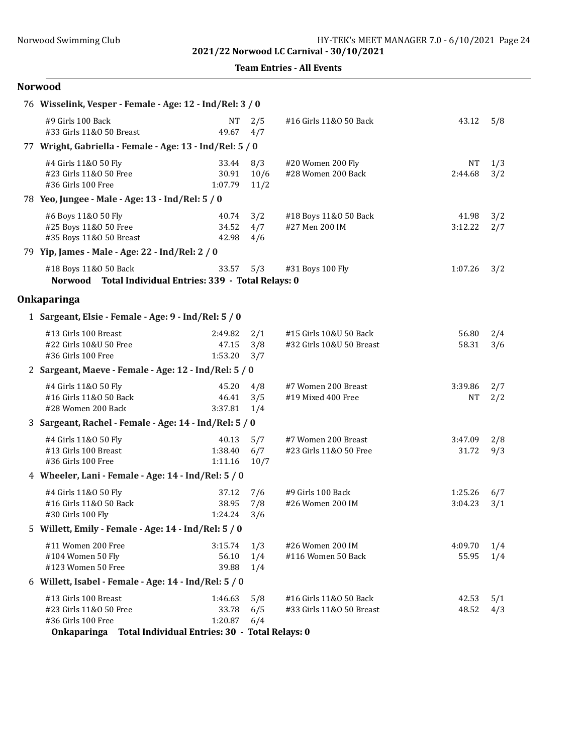Team Entries - All Events

| 76 Wisselink, Vesper - Female - Age: 12 - Ind/Rel: 3 / 0                                   |                                                                               |                     |                                                    |                      |            |
|--------------------------------------------------------------------------------------------|-------------------------------------------------------------------------------|---------------------|----------------------------------------------------|----------------------|------------|
| #9 Girls 100 Back<br>#33 Girls 11&0 50 Breast                                              | <b>NT</b><br>49.67                                                            | 2/5<br>4/7          | #16 Girls 11&0 50 Back                             | 43.12                | 5/8        |
| 77 Wright, Gabriella - Female - Age: 13 - Ind/Rel: 5 / 0                                   |                                                                               |                     |                                                    |                      |            |
| #4 Girls 11&0 50 Fly<br>#23 Girls 11&0 50 Free<br>#36 Girls 100 Free                       | 33.44<br>30.91<br>1:07.79                                                     | 8/3<br>10/6<br>11/2 | #20 Women 200 Fly<br>#28 Women 200 Back            | <b>NT</b><br>2:44.68 | 1/3<br>3/2 |
| 78 Yeo, Jungee - Male - Age: 13 - Ind/Rel: 5 / 0                                           |                                                                               |                     |                                                    |                      |            |
| #6 Boys 11&0 50 Fly<br>#25 Boys 11&0 50 Free<br>#35 Boys 11&0 50 Breast                    | 40.74<br>34.52<br>42.98                                                       | 3/2<br>4/7<br>4/6   | #18 Boys 11&0 50 Back<br>#27 Men 200 IM            | 41.98<br>3:12.22     | 3/2<br>2/7 |
| 79 Yip, James - Male - Age: 22 - Ind/Rel: 2 / 0                                            |                                                                               |                     |                                                    |                      |            |
| #18 Boys 11&0 50 Back<br>Norwood Total Individual Entries: 339 - Total Relays: 0           | 33.57                                                                         | 5/3                 | #31 Boys 100 Fly                                   | 1:07.26              | 3/2        |
| Onkaparinga                                                                                |                                                                               |                     |                                                    |                      |            |
| 1 Sargeant, Elsie - Female - Age: 9 - Ind/Rel: 5 / 0                                       |                                                                               |                     |                                                    |                      |            |
| #13 Girls 100 Breast<br>#22 Girls 10&U 50 Free<br>#36 Girls 100 Free                       | 2:49.82<br>47.15<br>1:53.20                                                   | 2/1<br>3/8<br>3/7   | #15 Girls 10&U 50 Back<br>#32 Girls 10&U 50 Breast | 56.80<br>58.31       | 2/4<br>3/6 |
| 2 Sargeant, Maeve - Female - Age: 12 - Ind/Rel: 5 / 0                                      |                                                                               |                     |                                                    |                      |            |
| #4 Girls 11&0 50 Fly<br>#16 Girls 11&0 50 Back<br>#28 Women 200 Back                       | 45.20<br>46.41<br>3:37.81                                                     | 4/8<br>3/5<br>1/4   | #7 Women 200 Breast<br>#19 Mixed 400 Free          | 3:39.86<br>NT        | 2/7<br>2/2 |
| 3 Sargeant, Rachel - Female - Age: 14 - Ind/Rel: 5 / 0                                     |                                                                               |                     |                                                    |                      |            |
| #4 Girls 11&0 50 Fly<br>#13 Girls 100 Breast<br>#36 Girls 100 Free                         | 40.13<br>1:38.40<br>1:11.16                                                   | 5/7<br>6/7<br>10/7  | #7 Women 200 Breast<br>#23 Girls 11&0 50 Free      | 3:47.09<br>31.72     | 2/8<br>9/3 |
| 4 Wheeler, Lani - Female - Age: 14 - Ind/Rel: 5 / 0                                        |                                                                               |                     |                                                    |                      |            |
| #4 Girls 11&0 50 Fly<br>#16 Girls 11&0 50 Back<br>#30 Girls 100 Fly                        | 37.12<br>38.95<br>1:24.24                                                     | 7/6<br>7/8<br>3/6   | #9 Girls 100 Back<br>#26 Women 200 IM              | 1:25.26<br>3:04.23   | 6/7<br>3/1 |
| 5 Willett, Emily - Female - Age: 14 - Ind/Rel: 5 / 0                                       |                                                                               |                     |                                                    |                      |            |
| #11 Women 200 Free<br>#104 Women 50 Fly<br>#123 Women 50 Free                              | 3:15.74<br>56.10<br>39.88                                                     | 1/3<br>1/4<br>1/4   | #26 Women 200 IM<br>#116 Women 50 Back             | 4:09.70<br>55.95     | 1/4<br>1/4 |
| 6 Willett, Isabel - Female - Age: 14 - Ind/Rel: 5 / 0                                      |                                                                               |                     |                                                    |                      |            |
| #13 Girls 100 Breast<br>#23 Girls 11&0 50 Free<br>#36 Girls 100 Free<br><b>Onkaparinga</b> | 1:46.63<br>33.78<br>1:20.87<br>Total Individual Entries: 30 - Total Relays: 0 | 5/8<br>6/5<br>6/4   | #16 Girls 11&0 50 Back<br>#33 Girls 11&0 50 Breast | 42.53<br>48.52       | 5/1<br>4/3 |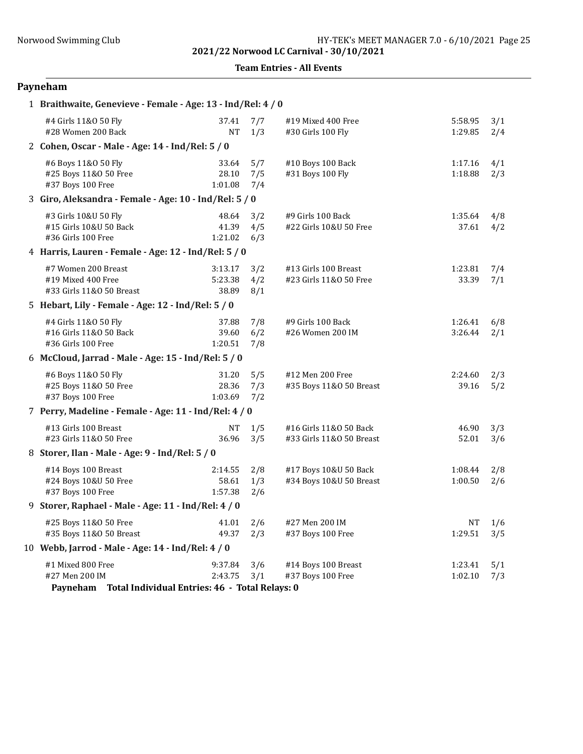Team Entries - All Events

# Payneham

| 1 Braithwaite, Genevieve - Female - Age: 13 - Ind/Rel: 4 / 0                                      |                             |                   |                                                    |                    |            |
|---------------------------------------------------------------------------------------------------|-----------------------------|-------------------|----------------------------------------------------|--------------------|------------|
| #4 Girls 11&0 50 Fly<br>#28 Women 200 Back                                                        | 37.41<br><b>NT</b>          | 7/7<br>1/3        | #19 Mixed 400 Free<br>#30 Girls 100 Fly            | 5:58.95<br>1:29.85 | 3/1<br>2/4 |
| 2 Cohen, Oscar - Male - Age: 14 - Ind/Rel: 5 / 0                                                  |                             |                   |                                                    |                    |            |
| #6 Boys 11&0 50 Fly<br>#25 Boys 11&0 50 Free<br>#37 Boys 100 Free                                 | 33.64<br>28.10<br>1:01.08   | 5/7<br>7/5<br>7/4 | #10 Boys 100 Back<br>#31 Boys 100 Fly              | 1:17.16<br>1:18.88 | 4/1<br>2/3 |
| 3 Giro, Aleksandra - Female - Age: 10 - Ind/Rel: 5 / 0                                            |                             |                   |                                                    |                    |            |
| #3 Girls 10&U 50 Fly<br>#15 Girls 10&U 50 Back<br>#36 Girls 100 Free                              | 48.64<br>41.39<br>1:21.02   | 3/2<br>4/5<br>6/3 | #9 Girls 100 Back<br>#22 Girls 10&U 50 Free        | 1:35.64<br>37.61   | 4/8<br>4/2 |
| 4 Harris, Lauren - Female - Age: 12 - Ind/Rel: 5 / 0                                              |                             |                   |                                                    |                    |            |
| #7 Women 200 Breast<br>#19 Mixed 400 Free<br>#33 Girls 11&0 50 Breast                             | 3:13.17<br>5:23.38<br>38.89 | 3/2<br>4/2<br>8/1 | #13 Girls 100 Breast<br>#23 Girls 11&0 50 Free     | 1:23.81<br>33.39   | 7/4<br>7/1 |
| 5 Hebart, Lily - Female - Age: 12 - Ind/Rel: 5 / 0                                                |                             |                   |                                                    |                    |            |
| #4 Girls 11&0 50 Fly<br>#16 Girls 11&0 50 Back<br>#36 Girls 100 Free                              | 37.88<br>39.60<br>1:20.51   | 7/8<br>6/2<br>7/8 | #9 Girls 100 Back<br>#26 Women 200 IM              | 1:26.41<br>3:26.44 | 6/8<br>2/1 |
| 6 McCloud, Jarrad - Male - Age: 15 - Ind/Rel: 5 / 0                                               |                             |                   |                                                    |                    |            |
| #6 Boys 11&0 50 Fly<br>#25 Boys 11&0 50 Free<br>#37 Boys 100 Free                                 | 31.20<br>28.36<br>1:03.69   | 5/5<br>7/3<br>7/2 | #12 Men 200 Free<br>#35 Boys 11&0 50 Breast        | 2:24.60<br>39.16   | 2/3<br>5/2 |
| 7 Perry, Madeline - Female - Age: 11 - Ind/Rel: 4 / 0                                             |                             |                   |                                                    |                    |            |
| #13 Girls 100 Breast<br>#23 Girls 11&0 50 Free                                                    | NT<br>36.96                 | 1/5<br>3/5        | #16 Girls 11&0 50 Back<br>#33 Girls 11&0 50 Breast | 46.90<br>52.01     | 3/3<br>3/6 |
| 8 Storer, Ilan - Male - Age: 9 - Ind/Rel: 5 / 0                                                   |                             |                   |                                                    |                    |            |
| #14 Boys 100 Breast<br>#24 Boys 10&U 50 Free<br>#37 Boys 100 Free                                 | 2:14.55<br>58.61<br>1:57.38 | 2/8<br>1/3<br>2/6 | #17 Boys 10&U 50 Back<br>#34 Boys 10&U 50 Breast   | 1:08.44<br>1:00.50 | 2/8<br>2/6 |
| 9 Storer, Raphael - Male - Age: 11 - Ind/Rel: 4 / 0                                               |                             |                   |                                                    |                    |            |
| #25 Boys 11&0 50 Free<br>#35 Boys 11&0 50 Breast                                                  | 41.01<br>49.37              | 2/6<br>2/3        | #27 Men 200 IM<br>#37 Boys 100 Free                | NT<br>1:29.51      | 1/6<br>3/5 |
| 10 Webb, Jarrod - Male - Age: 14 - Ind/Rel: 4 / 0                                                 |                             |                   |                                                    |                    |            |
| #1 Mixed 800 Free<br>#27 Men 200 IM<br>Total Individual Entries: 46 - Total Relays: 0<br>Payneham | 9:37.84<br>2:43.75          | 3/6<br>3/1        | #14 Boys 100 Breast<br>#37 Boys 100 Free           | 1:23.41<br>1:02.10 | 5/1<br>7/3 |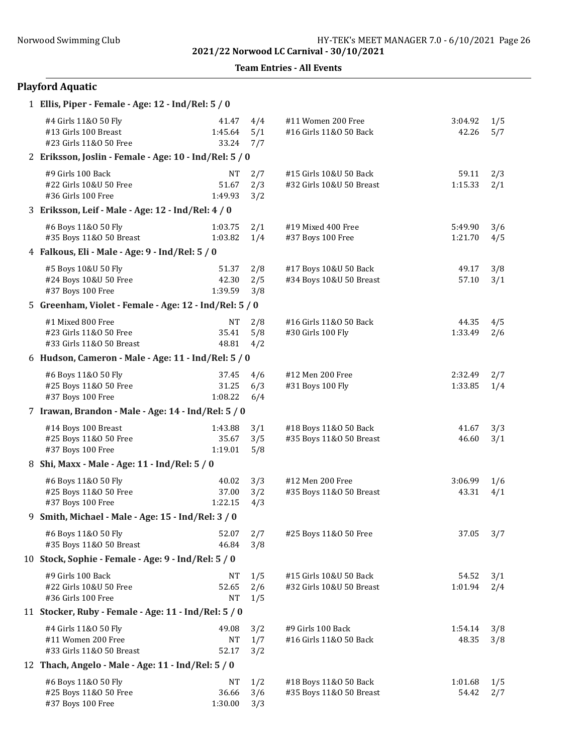Team Entries - All Events

# Playford Aquatic

| 1 Ellis, Piper - Female - Age: 12 - Ind/Rel: 5 / 0                      |                               |                   |                                                    |                    |            |
|-------------------------------------------------------------------------|-------------------------------|-------------------|----------------------------------------------------|--------------------|------------|
| #4 Girls 11&0 50 Fly<br>#13 Girls 100 Breast<br>#23 Girls 11&0 50 Free  | 41.47<br>1:45.64<br>33.24     | 4/4<br>5/1<br>7/7 | #11 Women 200 Free<br>#16 Girls 11&0 50 Back       | 3:04.92<br>42.26   | 1/5<br>5/7 |
| 2 Eriksson, Joslin - Female - Age: 10 - Ind/Rel: 5 / 0                  |                               |                   |                                                    |                    |            |
| #9 Girls 100 Back<br>#22 Girls 10&U 50 Free<br>#36 Girls 100 Free       | <b>NT</b><br>51.67<br>1:49.93 | 2/7<br>2/3<br>3/2 | #15 Girls 10&U 50 Back<br>#32 Girls 10&U 50 Breast | 59.11<br>1:15.33   | 2/3<br>2/1 |
| 3 Eriksson, Leif - Male - Age: 12 - Ind/Rel: 4 / 0                      |                               |                   |                                                    |                    |            |
| #6 Boys 11&0 50 Fly<br>#35 Boys 11&0 50 Breast                          | 1:03.75<br>1:03.82            | 2/1<br>1/4        | #19 Mixed 400 Free<br>#37 Boys 100 Free            | 5:49.90<br>1:21.70 | 3/6<br>4/5 |
| 4 Falkous, Eli - Male - Age: 9 - Ind/Rel: 5 / 0                         |                               |                   |                                                    |                    |            |
| #5 Boys 10&U 50 Fly<br>#24 Boys 10&U 50 Free<br>#37 Boys 100 Free       | 51.37<br>42.30<br>1:39.59     | 2/8<br>2/5<br>3/8 | #17 Boys 10&U 50 Back<br>#34 Boys 10&U 50 Breast   | 49.17<br>57.10     | 3/8<br>3/1 |
| 5 Greenham, Violet - Female - Age: 12 - Ind/Rel: 5 / 0                  |                               |                   |                                                    |                    |            |
| #1 Mixed 800 Free<br>#23 Girls 11&0 50 Free<br>#33 Girls 11&0 50 Breast | NT<br>35.41<br>48.81          | 2/8<br>5/8<br>4/2 | #16 Girls 11&0 50 Back<br>#30 Girls 100 Fly        | 44.35<br>1:33.49   | 4/5<br>2/6 |
| 6 Hudson, Cameron - Male - Age: 11 - Ind/Rel: 5 / 0                     |                               |                   |                                                    |                    |            |
| #6 Boys 11&0 50 Fly<br>#25 Boys 11&0 50 Free<br>#37 Boys 100 Free       | 37.45<br>31.25<br>1:08.22     | 4/6<br>6/3<br>6/4 | #12 Men 200 Free<br>#31 Boys 100 Fly               | 2:32.49<br>1:33.85 | 2/7<br>1/4 |
| 7 Irawan, Brandon - Male - Age: 14 - Ind/Rel: 5 / 0                     |                               |                   |                                                    |                    |            |
| #14 Boys 100 Breast<br>#25 Boys 11&0 50 Free<br>#37 Boys 100 Free       | 1:43.88<br>35.67<br>1:19.01   | 3/1<br>3/5<br>5/8 | #18 Boys 11&0 50 Back<br>#35 Boys 11&0 50 Breast   | 41.67<br>46.60     | 3/3<br>3/1 |
| 8 Shi, Maxx - Male - Age: 11 - Ind/Rel: 5 / 0                           |                               |                   |                                                    |                    |            |
| #6 Boys 11&0 50 Fly<br>#25 Boys 11&0 50 Free<br>#37 Boys 100 Free       | 40.02<br>37.00<br>1:22.15     | 3/3<br>3/2<br>4/3 | #12 Men 200 Free<br>#35 Boys 11&0 50 Breast        | 3:06.99<br>43.31   | 1/6<br>4/1 |
| 9 Smith, Michael - Male - Age: 15 - Ind/Rel: 3 / 0                      |                               |                   |                                                    |                    |            |
| #6 Boys 11&0 50 Fly<br>#35 Boys 11&0 50 Breast                          | 52.07<br>46.84                | 2/7<br>3/8        | #25 Boys 11&0 50 Free                              | 37.05              | 3/7        |
| 10 Stock, Sophie - Female - Age: 9 - Ind/Rel: 5 / 0                     |                               |                   |                                                    |                    |            |
| #9 Girls 100 Back<br>#22 Girls 10&U 50 Free<br>#36 Girls 100 Free       | NT<br>52.65<br><b>NT</b>      | 1/5<br>2/6<br>1/5 | #15 Girls 10&U 50 Back<br>#32 Girls 10&U 50 Breast | 54.52<br>1:01.94   | 3/1<br>2/4 |
| 11 Stocker, Ruby - Female - Age: 11 - Ind/Rel: 5 / 0                    |                               |                   |                                                    |                    |            |
| #4 Girls 11&0 50 Fly<br>#11 Women 200 Free<br>#33 Girls 11&0 50 Breast  | 49.08<br>NT<br>52.17          | 3/2<br>1/7<br>3/2 | #9 Girls 100 Back<br>#16 Girls 11&0 50 Back        | 1:54.14<br>48.35   | 3/8<br>3/8 |
| 12 Thach, Angelo - Male - Age: 11 - Ind/Rel: 5 / 0                      |                               |                   |                                                    |                    |            |
| #6 Boys 11&0 50 Fly<br>#25 Boys 11&0 50 Free<br>#37 Boys 100 Free       | NT<br>36.66<br>1:30.00        | 1/2<br>3/6<br>3/3 | #18 Boys 11&0 50 Back<br>#35 Boys 11&0 50 Breast   | 1:01.68<br>54.42   | 1/5<br>2/7 |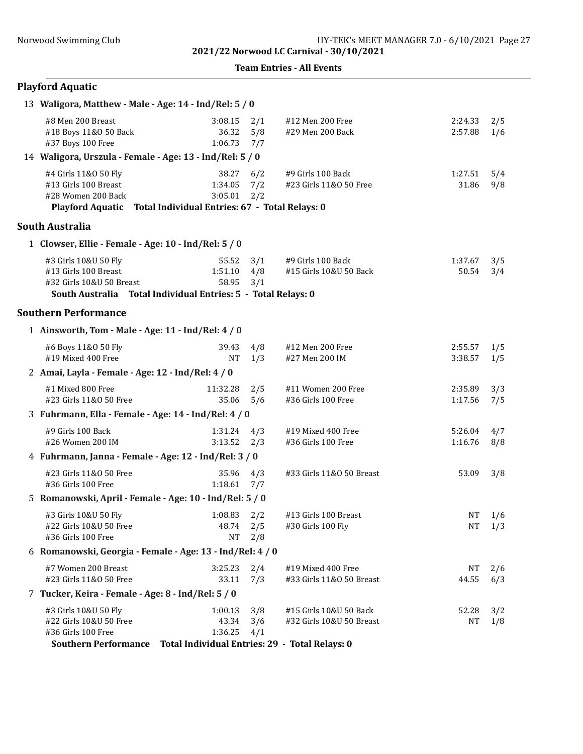#### Team Entries - All Events

# Playford Aquatic

| 13 Waligora, Matthew - Male - Age: 14 - Ind/Rel: 5 / 0                                                                                    |                                                                               |                   |                                                    |                    |                   |
|-------------------------------------------------------------------------------------------------------------------------------------------|-------------------------------------------------------------------------------|-------------------|----------------------------------------------------|--------------------|-------------------|
| #8 Men 200 Breast<br>#18 Boys 11&0 50 Back<br>#37 Boys 100 Free                                                                           | 3:08.15<br>36.32<br>1:06.73                                                   | 2/1<br>5/8<br>7/7 | #12 Men 200 Free<br>#29 Men 200 Back               | 2:24.33<br>2:57.88 | 2/5<br>1/6        |
| 14 Waligora, Urszula - Female - Age: 13 - Ind/Rel: 5 / 0                                                                                  |                                                                               |                   |                                                    |                    |                   |
| #4 Girls 11&0 50 Fly<br>#13 Girls 100 Breast<br>#28 Women 200 Back<br>Playford Aquatic Total Individual Entries: 67 - Total Relays: 0     | 38.27<br>1:34.05<br>3:05.01                                                   | 6/2<br>7/2<br>2/2 | #9 Girls 100 Back<br>#23 Girls 11&0 50 Free        | 1:27.51<br>31.86   | 5/4<br>9/8        |
| South Australia                                                                                                                           |                                                                               |                   |                                                    |                    |                   |
| 1 Clowser, Ellie - Female - Age: 10 - Ind/Rel: 5 / 0                                                                                      |                                                                               |                   |                                                    |                    |                   |
| #3 Girls 10&U 50 Fly<br>#13 Girls 100 Breast<br>#32 Girls 10&U 50 Breast<br>South Australia Total Individual Entries: 5 - Total Relays: 0 | 55.52<br>1:51.10<br>58.95                                                     | 3/1<br>4/8<br>3/1 | #9 Girls 100 Back<br>#15 Girls 10&U 50 Back        | 1:37.67<br>50.54   | 3/5<br>3/4        |
| <b>Southern Performance</b>                                                                                                               |                                                                               |                   |                                                    |                    |                   |
| 1 Ainsworth, Tom - Male - Age: 11 - Ind/Rel: 4 / 0                                                                                        |                                                                               |                   |                                                    |                    |                   |
| #6 Boys 11&0 50 Fly<br>#19 Mixed 400 Free                                                                                                 | 39.43<br>NT                                                                   | 4/8<br>1/3        | #12 Men 200 Free<br>#27 Men 200 IM                 | 2:55.57<br>3:38.57 | 1/5<br>1/5        |
| 2 Amai, Layla - Female - Age: 12 - Ind/Rel: 4 / 0                                                                                         |                                                                               |                   |                                                    |                    |                   |
| #1 Mixed 800 Free<br>#23 Girls 11&0 50 Free                                                                                               | 11:32.28<br>35.06                                                             | 2/5<br>5/6        | #11 Women 200 Free<br>#36 Girls 100 Free           | 2:35.89<br>1:17.56 | 3/3<br>7/5        |
| 3 Fuhrmann, Ella - Female - Age: 14 - Ind/Rel: 4 / 0                                                                                      |                                                                               |                   |                                                    |                    |                   |
| #9 Girls 100 Back<br>#26 Women 200 IM                                                                                                     | 1:31.24<br>3:13.52                                                            | 4/3<br>2/3        | #19 Mixed 400 Free<br>#36 Girls 100 Free           | 5:26.04<br>1:16.76 | 4/7<br>8/8        |
| 4 Fuhrmann, Janna - Female - Age: 12 - Ind/Rel: 3 / 0                                                                                     |                                                                               |                   |                                                    |                    |                   |
| #23 Girls 11&0 50 Free<br>#36 Girls 100 Free                                                                                              | 35.96<br>1:18.61                                                              | 4/3<br>7/7        | #33 Girls 11&0 50 Breast                           | 53.09              | 3/8               |
| 5 Romanowski, April - Female - Age: 10 - Ind/Rel: 5 / 0                                                                                   |                                                                               |                   |                                                    |                    |                   |
| #3 Girls 10&U 50 Fly<br>#22 Girls 10&U 50 Free<br>#36 Girls 100 Free                                                                      | $1:08.83$ $2/2$<br>48.74 2/5<br>NT                                            | 2/8               | #13 Girls 100 Breast<br>#30 Girls 100 Fly          | NT                 | 1/6<br>$NT \t1/3$ |
| 6 Romanowski, Georgia - Female - Age: 13 - Ind/Rel: 4 / 0                                                                                 |                                                                               |                   |                                                    |                    |                   |
| #7 Women 200 Breast<br>#23 Girls 11&0 50 Free                                                                                             | 3:25.23<br>33.11                                                              | 2/4<br>7/3        | #19 Mixed 400 Free<br>#33 Girls 11&0 50 Breast     | NT<br>44.55        | 2/6<br>6/3        |
| 7 Tucker, Keira - Female - Age: 8 - Ind/Rel: 5 / 0                                                                                        |                                                                               |                   |                                                    |                    |                   |
| #3 Girls 10&U 50 Fly<br>#22 Girls 10&U 50 Free<br>#36 Girls 100 Free<br><b>Southern Performance</b>                                       | 1:00.13<br>43.34<br>1:36.25<br>Total Individual Entries: 29 - Total Relays: 0 | 3/8<br>3/6<br>4/1 | #15 Girls 10&U 50 Back<br>#32 Girls 10&U 50 Breast | 52.28<br>NT        | 3/2<br>1/8        |
|                                                                                                                                           |                                                                               |                   |                                                    |                    |                   |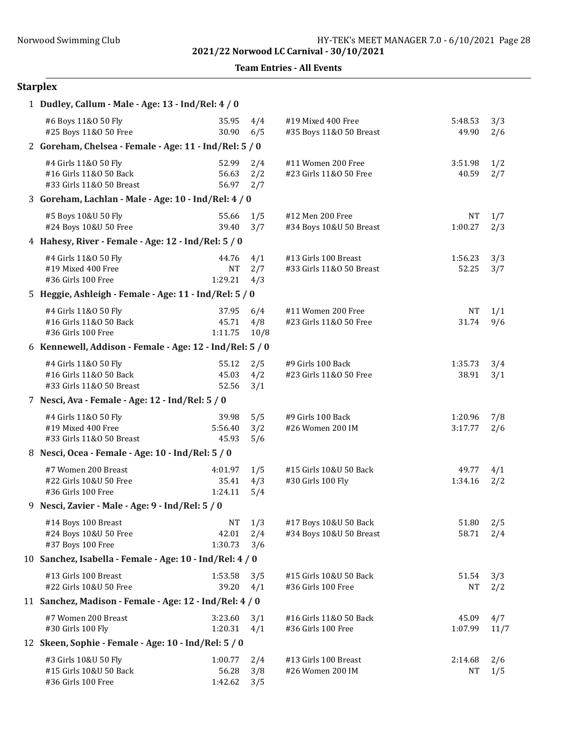Team Entries - All Events

# Starplex

| 1 Dudley, Callum - Male - Age: 13 - Ind/Rel: 4 / 0                         |                               |                    |                                                  |                    |             |
|----------------------------------------------------------------------------|-------------------------------|--------------------|--------------------------------------------------|--------------------|-------------|
| #6 Boys 11&0 50 Fly<br>#25 Boys 11&0 50 Free                               | 35.95<br>30.90                | 4/4<br>6/5         | #19 Mixed 400 Free<br>#35 Boys 11&0 50 Breast    | 5:48.53<br>49.90   | 3/3<br>2/6  |
| 2 Goreham, Chelsea - Female - Age: 11 - Ind/Rel: 5 / 0                     |                               |                    |                                                  |                    |             |
| #4 Girls 11&0 50 Fly<br>#16 Girls 11&0 50 Back<br>#33 Girls 11&0 50 Breast | 52.99<br>56.63<br>56.97       | 2/4<br>2/2<br>2/7  | #11 Women 200 Free<br>#23 Girls 11&0 50 Free     | 3:51.98<br>40.59   | 1/2<br>2/7  |
| 3 Goreham, Lachlan - Male - Age: 10 - Ind/Rel: 4 / 0                       |                               |                    |                                                  |                    |             |
| #5 Boys 10&U 50 Fly<br>#24 Boys 10&U 50 Free                               | 55.66<br>39.40                | 1/5<br>3/7         | #12 Men 200 Free<br>#34 Boys 10&U 50 Breast      | NT<br>1:00.27      | 1/7<br>2/3  |
| 4 Hahesy, River - Female - Age: 12 - Ind/Rel: 5 / 0                        |                               |                    |                                                  |                    |             |
| #4 Girls 11&0 50 Fly<br>#19 Mixed 400 Free<br>#36 Girls 100 Free           | 44.76<br><b>NT</b><br>1:29.21 | 4/1<br>2/7<br>4/3  | #13 Girls 100 Breast<br>#33 Girls 11&0 50 Breast | 1:56.23<br>52.25   | 3/3<br>3/7  |
| 5 Heggie, Ashleigh - Female - Age: 11 - Ind/Rel: 5 / 0                     |                               |                    |                                                  |                    |             |
| #4 Girls 11&0 50 Fly<br>#16 Girls 11&0 50 Back<br>#36 Girls 100 Free       | 37.95<br>45.71<br>1:11.75     | 6/4<br>4/8<br>10/8 | #11 Women 200 Free<br>#23 Girls 11&0 50 Free     | <b>NT</b><br>31.74 | 1/1<br>9/6  |
| 6 Kennewell, Addison - Female - Age: 12 - Ind/Rel: 5 / 0                   |                               |                    |                                                  |                    |             |
| #4 Girls 11&0 50 Fly<br>#16 Girls 11&0 50 Back<br>#33 Girls 11&0 50 Breast | 55.12<br>45.03<br>52.56       | 2/5<br>4/2<br>3/1  | #9 Girls 100 Back<br>#23 Girls 11&0 50 Free      | 1:35.73<br>38.91   | 3/4<br>3/1  |
| 7 Nesci, Ava - Female - Age: 12 - Ind/Rel: 5 / 0                           |                               |                    |                                                  |                    |             |
| #4 Girls 11&0 50 Fly<br>#19 Mixed 400 Free<br>#33 Girls 11&0 50 Breast     | 39.98<br>5:56.40<br>45.93     | 5/5<br>3/2<br>5/6  | #9 Girls 100 Back<br>#26 Women 200 IM            | 1:20.96<br>3:17.77 | 7/8<br>2/6  |
| 8 Nesci, Ocea - Female - Age: 10 - Ind/Rel: 5 / 0                          |                               |                    |                                                  |                    |             |
| #7 Women 200 Breast<br>#22 Girls 10&U 50 Free<br>#36 Girls 100 Free        | 4:01.97<br>35.41<br>1:24.11   | 1/5<br>4/3<br>5/4  | #15 Girls 10&U 50 Back<br>#30 Girls 100 Fly      | 49.77<br>1:34.16   | 4/1<br>2/2  |
| 9 Nesci, Zavier - Male - Age: 9 - Ind/Rel: 5 / 0                           |                               |                    |                                                  |                    |             |
| #14 Boys 100 Breast<br>#24 Boys 10&U 50 Free<br>#37 Boys 100 Free          | NT<br>42.01<br>1:30.73        | 1/3<br>2/4<br>3/6  | #17 Boys 10&U 50 Back<br>#34 Boys 10&U 50 Breast | 51.80<br>58.71     | 2/5<br>2/4  |
| 10 Sanchez, Isabella - Female - Age: 10 - Ind/Rel: 4 / 0                   |                               |                    |                                                  |                    |             |
| #13 Girls 100 Breast<br>#22 Girls 10&U 50 Free                             | 1:53.58<br>39.20              | 3/5<br>4/1         | #15 Girls 10&U 50 Back<br>#36 Girls 100 Free     | 51.54<br>NT        | 3/3<br>2/2  |
| 11 Sanchez, Madison - Female - Age: 12 - Ind/Rel: 4 / 0                    |                               |                    |                                                  |                    |             |
| #7 Women 200 Breast<br>#30 Girls 100 Fly                                   | 3:23.60<br>1:20.31            | 3/1<br>4/1         | #16 Girls 11&0 50 Back<br>#36 Girls 100 Free     | 45.09<br>1:07.99   | 4/7<br>11/7 |
| 12 Skeen, Sophie - Female - Age: 10 - Ind/Rel: 5 / 0                       |                               |                    |                                                  |                    |             |
| #3 Girls 10&U 50 Fly<br>#15 Girls 10&U 50 Back<br>#36 Girls 100 Free       | 1:00.77<br>56.28<br>1:42.62   | 2/4<br>3/8<br>3/5  | #13 Girls 100 Breast<br>#26 Women 200 IM         | 2:14.68<br>NΤ      | 2/6<br>1/5  |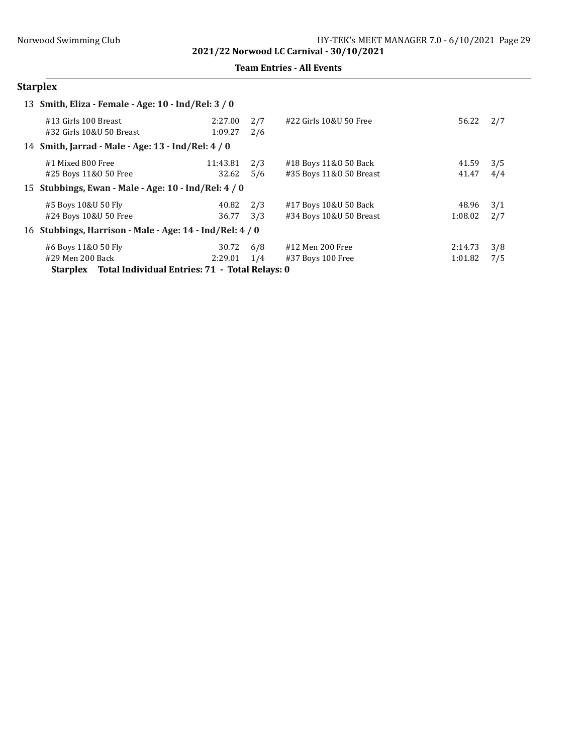Team Entries - All Events

# Starplex

| 13 Smith, Eliza - Female - Age: 10 - Ind/Rel: 3 / 0      |                    |            |                         |         |     |
|----------------------------------------------------------|--------------------|------------|-------------------------|---------|-----|
| #13 Girls 100 Breast<br>#32 Girls 10&U 50 Breast         | 2:27.00<br>1:09.27 | 2/7<br>2/6 | #22 Girls 10&U 50 Free  | 56.22   | 2/7 |
| 14 Smith, Jarrad - Male - Age: 13 - Ind/Rel: 4 / 0       |                    |            |                         |         |     |
| #1 Mixed 800 Free                                        | 11:43.81           | 2/3        | #18 Boys 11&0 50 Back   | 41.59   | 3/5 |
| #25 Boys 11&0 50 Free                                    | 32.62              | 5/6        | #35 Boys 11&0 50 Breast | 41.47   | 4/4 |
| 15 Stubbings, Ewan - Male - Age: 10 - Ind/Rel: 4 / 0     |                    |            |                         |         |     |
| #5 Boys 10&U 50 Fly                                      | 40.82              | 2/3        | #17 Boys 10&U 50 Back   | 48.96   | 3/1 |
| #24 Boys 10&U 50 Free                                    | 36.77              | 3/3        | #34 Boys 10&U 50 Breast | 1:08.02 | 2/7 |
| 16 Stubbings, Harrison - Male - Age: 14 - Ind/Rel: 4 / 0 |                    |            |                         |         |     |
| #6 Boys 11&0 50 Fly                                      | 30.72              | 6/8        | #12 Men 200 Free        | 2:14.73 | 3/8 |
| #29 Men 200 Back                                         | 2:29.01            | 1/4        | #37 Boys 100 Free       | 1:01.82 | 7/5 |
| Starplex Total Individual Entries: 71 - Total Relays: 0  |                    |            |                         |         |     |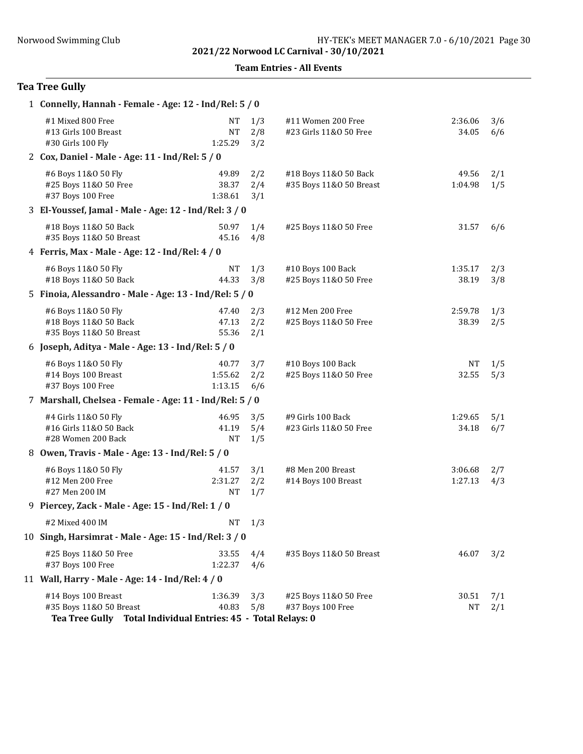Team Entries - All Events

# Tea Tree Gully

| 1 Connelly, Hannah - Female - Age: 12 - Ind/Rel: 5 / 0                                                          |                                   |                   |                                                  |                    |            |
|-----------------------------------------------------------------------------------------------------------------|-----------------------------------|-------------------|--------------------------------------------------|--------------------|------------|
| #1 Mixed 800 Free<br>#13 Girls 100 Breast<br>#30 Girls 100 Fly                                                  | <b>NT</b><br><b>NT</b><br>1:25.29 | 1/3<br>2/8<br>3/2 | #11 Women 200 Free<br>#23 Girls 11&0 50 Free     | 2:36.06<br>34.05   | 3/6<br>6/6 |
| 2 Cox, Daniel - Male - Age: 11 - Ind/Rel: 5 / 0                                                                 |                                   |                   |                                                  |                    |            |
| #6 Boys 11&0 50 Fly<br>#25 Boys 11&0 50 Free<br>#37 Boys 100 Free                                               | 49.89<br>38.37<br>1:38.61         | 2/2<br>2/4<br>3/1 | #18 Boys 11&0 50 Back<br>#35 Boys 11&0 50 Breast | 49.56<br>1:04.98   | 2/1<br>1/5 |
| 3 El-Youssef, Jamal - Male - Age: 12 - Ind/Rel: 3 / 0                                                           |                                   |                   |                                                  |                    |            |
| #18 Boys 11&0 50 Back<br>#35 Boys 11&0 50 Breast                                                                | 50.97<br>45.16                    | 1/4<br>4/8        | #25 Boys 11&0 50 Free                            | 31.57              | 6/6        |
| 4 Ferris, Max - Male - Age: 12 - Ind/Rel: 4 / 0                                                                 |                                   |                   |                                                  |                    |            |
| #6 Boys 11&0 50 Fly<br>#18 Boys 11&0 50 Back                                                                    | NT<br>44.33                       | 1/3<br>3/8        | #10 Boys 100 Back<br>#25 Boys 11&0 50 Free       | 1:35.17<br>38.19   | 2/3<br>3/8 |
| 5 Finoia, Alessandro - Male - Age: 13 - Ind/Rel: 5 / 0                                                          |                                   |                   |                                                  |                    |            |
| #6 Boys 11&0 50 Fly<br>#18 Boys 11&0 50 Back<br>#35 Boys 11&0 50 Breast                                         | 47.40<br>47.13<br>55.36           | 2/3<br>2/2<br>2/1 | #12 Men 200 Free<br>#25 Boys 11&0 50 Free        | 2:59.78<br>38.39   | 1/3<br>2/5 |
| 6 Joseph, Aditya - Male - Age: 13 - Ind/Rel: 5 / 0                                                              |                                   |                   |                                                  |                    |            |
| #6 Boys 11&0 50 Fly<br>#14 Boys 100 Breast<br>#37 Boys 100 Free                                                 | 40.77<br>1:55.62<br>1:13.15       | 3/7<br>2/2<br>6/6 | #10 Boys 100 Back<br>#25 Boys 11&0 50 Free       | NT<br>32.55        | 1/5<br>5/3 |
| 7 Marshall, Chelsea - Female - Age: 11 - Ind/Rel: 5 / 0                                                         |                                   |                   |                                                  |                    |            |
| #4 Girls 11&0 50 Fly<br>#16 Girls 11&0 50 Back<br>#28 Women 200 Back                                            | 46.95<br>41.19<br><b>NT</b>       | 3/5<br>5/4<br>1/5 | #9 Girls 100 Back<br>#23 Girls 11&0 50 Free      | 1:29.65<br>34.18   | 5/1<br>6/7 |
| 8 Owen, Travis - Male - Age: 13 - Ind/Rel: 5 / 0                                                                |                                   |                   |                                                  |                    |            |
| #6 Boys 11&0 50 Fly<br>#12 Men 200 Free<br>#27 Men 200 IM                                                       | 41.57<br>2:31.27<br><b>NT</b>     | 3/1<br>2/2<br>1/7 | #8 Men 200 Breast<br>#14 Boys 100 Breast         | 3:06.68<br>1:27.13 | 2/7<br>4/3 |
| 9 Piercey, Zack - Male - Age: 15 - Ind/Rel: 1 / 0                                                               |                                   |                   |                                                  |                    |            |
| #2 Mixed 400 IM                                                                                                 | NT                                | 1/3               |                                                  |                    |            |
| 10 Singh, Harsimrat - Male - Age: 15 - Ind/Rel: 3 / 0                                                           |                                   |                   |                                                  |                    |            |
| #25 Boys 11&0 50 Free<br>#37 Boys 100 Free                                                                      | 33.55<br>1:22.37                  | 4/4<br>4/6        | #35 Boys 11&0 50 Breast                          | 46.07              | 3/2        |
| 11 Wall, Harry - Male - Age: 14 - Ind/Rel: 4 / 0                                                                |                                   |                   |                                                  |                    |            |
| #14 Boys 100 Breast<br>#35 Boys 11&0 50 Breast<br>Tea Tree Gully Total Individual Entries: 45 - Total Relays: 0 | 1:36.39<br>40.83                  | 3/3<br>5/8        | #25 Boys 11&0 50 Free<br>#37 Boys 100 Free       | 30.51<br>NT        | 7/1<br>2/1 |